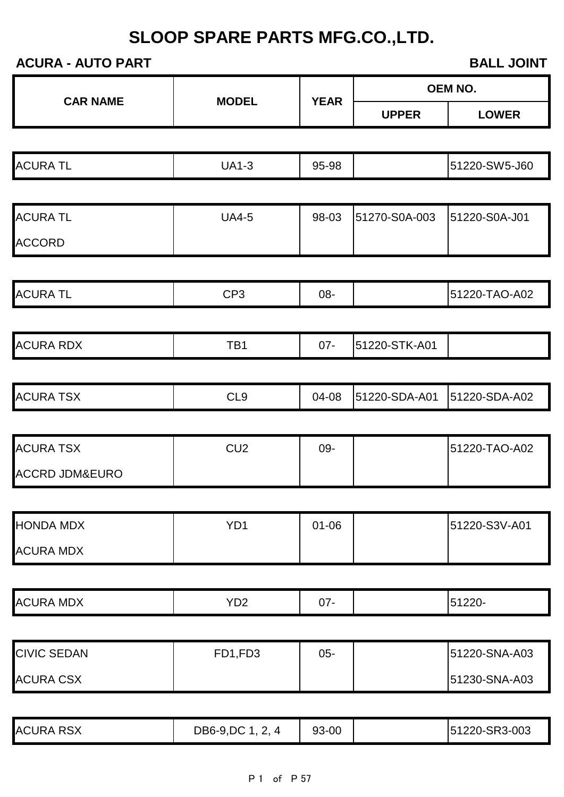### **ACURA - AUTO PART BALL JOINT**

|                           |                 |             |               | <b>OEM NO.</b> |
|---------------------------|-----------------|-------------|---------------|----------------|
| <b>CAR NAME</b>           | <b>MODEL</b>    | <b>YEAR</b> | <b>UPPER</b>  | <b>LOWER</b>   |
|                           |                 |             |               |                |
| <b>ACURA TL</b>           | <b>UA1-3</b>    | 95-98       |               | 51220-SW5-J60  |
|                           |                 |             |               |                |
| <b>ACURA TL</b>           | <b>UA4-5</b>    | 98-03       | 51270-S0A-003 | 51220-S0A-J01  |
| <b>ACCORD</b>             |                 |             |               |                |
|                           |                 |             |               |                |
| <b>ACURA TL</b>           | CP <sub>3</sub> | 08-         |               | 51220-TAO-A02  |
|                           |                 |             |               |                |
| <b>ACURA RDX</b>          | TB1             | $07 -$      | 51220-STK-A01 |                |
|                           |                 |             |               |                |
| <b>ACURA TSX</b>          | CL <sub>9</sub> | 04-08       | 51220-SDA-A01 | 51220-SDA-A02  |
|                           |                 |             |               |                |
| <b>ACURA TSX</b>          | CU <sub>2</sub> | 09-         |               | 51220-TAO-A02  |
| <b>ACCRD JDM&amp;EURO</b> |                 |             |               |                |
|                           |                 |             |               |                |
| <b>HONDA MDX</b>          | YD <sub>1</sub> | $01 - 06$   |               | 51220-S3V-A01  |
| <b>ACURA MDX</b>          |                 |             |               |                |
|                           |                 |             |               |                |
| <b>ACURA MDX</b>          | YD <sub>2</sub> | $07 -$      |               | 51220-         |
|                           |                 |             |               |                |
| <b>CIVIC SEDAN</b>        | FD1,FD3         | $05 -$      |               | 51220-SNA-A03  |
| <b>ACURA CSX</b>          |                 |             |               | 51230-SNA-A03  |
|                           |                 |             |               |                |

ACURA RSX **DB6-9,DC 1, 2, 4** 93-00 51220-SR3-003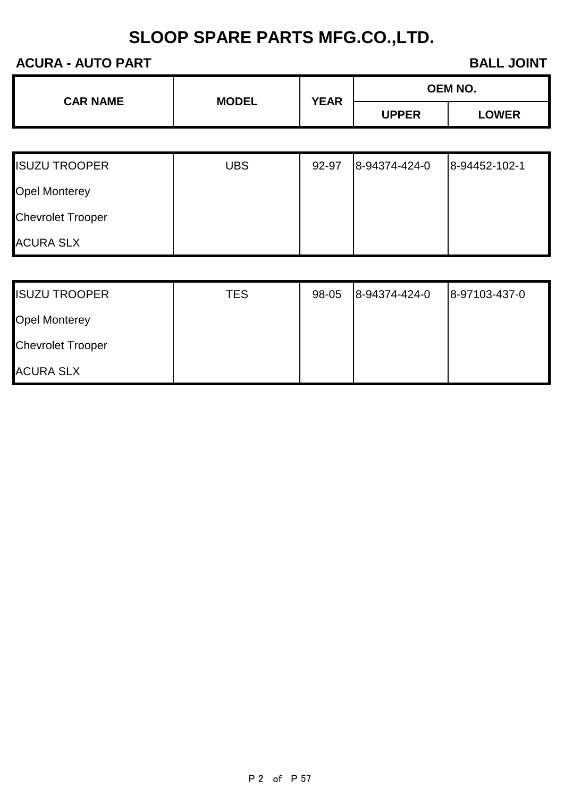### **ACURA - AUTO PART BALL JOINT**

| <b>CAR NAME</b> | <b>MODEL</b> | <b>YEAR</b> | <b>OEM NO.</b> |              |
|-----------------|--------------|-------------|----------------|--------------|
|                 |              |             | <b>UPPER</b>   | <b>_OWER</b> |

| <b>ISUZU TROOPER</b>     | <b>UBS</b> | 92-97 | 8-94374-424-0 | 8-94452-102-1 |
|--------------------------|------------|-------|---------------|---------------|
| <b>Opel Monterey</b>     |            |       |               |               |
| <b>Chevrolet Trooper</b> |            |       |               |               |
| <b>ACURA SLX</b>         |            |       |               |               |

| <b>ISUZU TROOPER</b>     | <b>TES</b> | 98-05 | 8-94374-424-0 | 8-97103-437-0 |
|--------------------------|------------|-------|---------------|---------------|
| <b>Opel Monterey</b>     |            |       |               |               |
| <b>Chevrolet Trooper</b> |            |       |               |               |
| <b>ACURA SLX</b>         |            |       |               |               |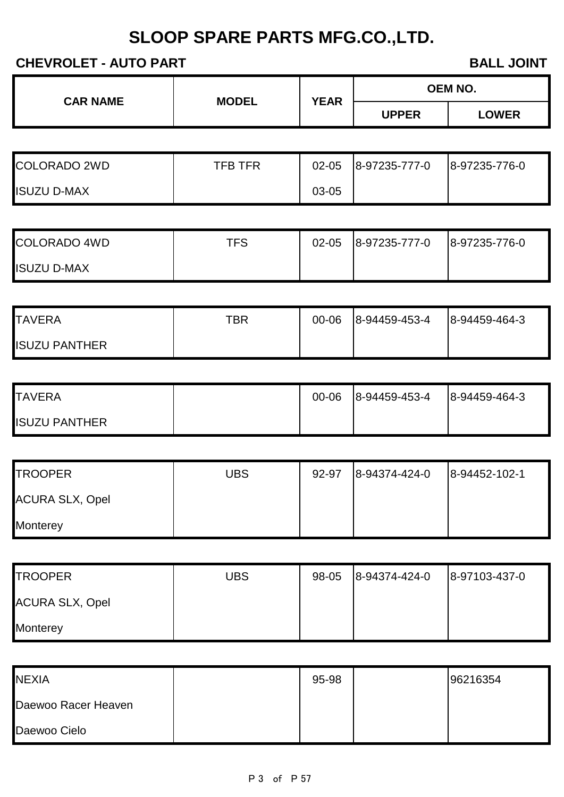### **CHEVROLET - AUTO PART BALL JOINT**

| <b>CAR NAME</b> | <b>MODEL</b> | <b>YEAR</b> | <b>OEM NO.</b> |              |
|-----------------|--------------|-------------|----------------|--------------|
|                 |              |             | <b>JPPER</b>   | <b>_OWER</b> |

| <b>COLORADO 2WD</b> | <b>TFB TFR</b> | $02 - 05$ | 8-97235-777-0 | 8-97235-776-0 |
|---------------------|----------------|-----------|---------------|---------------|
| <b>ISUZU D-MAX</b>  |                | 03-05     |               |               |

| <b>COLORADO 4WD</b> | TFS | 02-05 | 8-97235-777-0 | 8-97235-776-0 |
|---------------------|-----|-------|---------------|---------------|
| <b>ISUZU D-MAX</b>  |     |       |               |               |

| <b>TAVERA</b>        | TBR | 00-06 | 8-94459-453-4 | 8-94459-464-3 |
|----------------------|-----|-------|---------------|---------------|
| <b>ISUZU PANTHER</b> |     |       |               |               |

| <b>I</b> TAVERA      | 00-06 | 8-94459-453-4 | 8-94459-464-3 |
|----------------------|-------|---------------|---------------|
| <b>ISUZU PANTHER</b> |       |               |               |

| <b>TROOPER</b>         | <b>UBS</b> | 92-97 | 8-94374-424-0 | 8-94452-102-1 |
|------------------------|------------|-------|---------------|---------------|
| <b>ACURA SLX, Opel</b> |            |       |               |               |
| <b>Monterey</b>        |            |       |               |               |

| <b>TROOPER</b>         | <b>UBS</b> | 98-05 | 8-94374-424-0 | 8-97103-437-0 |
|------------------------|------------|-------|---------------|---------------|
| <b>ACURA SLX, Opel</b> |            |       |               |               |
| <b>Monterey</b>        |            |       |               |               |

| <b>NEXIA</b>        | 95-98 | 96216354 |
|---------------------|-------|----------|
| Daewoo Racer Heaven |       |          |
| Daewoo Cielo        |       |          |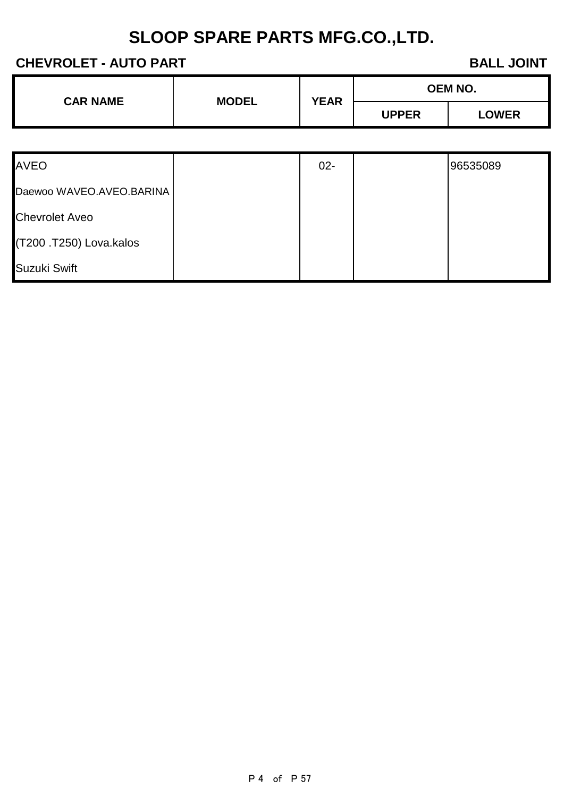### **CHEVROLET - AUTO PART BALL JOINT**

|                                 |  | <b>YEAR</b>  |              | <b>OEM NO.</b> |
|---------------------------------|--|--------------|--------------|----------------|
| <b>CAR NAME</b><br><b>MODEL</b> |  | <b>UPPER</b> | <b>LOWER</b> |                |

| <b>AVEO</b>              | $02 -$ | 96535089 |
|--------------------------|--------|----------|
| Daewoo WAVEO.AVEO.BARINA |        |          |
| <b>Chevrolet Aveo</b>    |        |          |
| (T200 .T250) Lova.kalos  |        |          |
| Suzuki Swift             |        |          |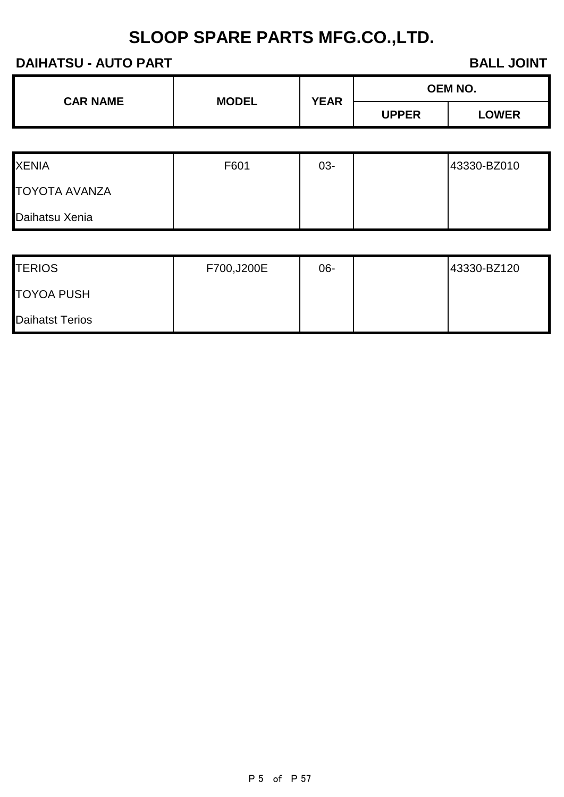### **DAIHATSU - AUTO PART BALL JOINT**

| <b>CAR NAME</b> | <b>MODEL</b> | <b>YEAR</b> | <b>OEM NO.</b> |              |  |
|-----------------|--------------|-------------|----------------|--------------|--|
|                 |              |             | <b>UPPER</b>   | <b>LOWER</b> |  |

| <b>XENIA</b>         | F601 | 03- | 43330-BZ010 |
|----------------------|------|-----|-------------|
| <b>TOYOTA AVANZA</b> |      |     |             |
| Daihatsu Xenia       |      |     |             |

| <b>TERIOS</b>     | F700,J200E | 06- | 43330-BZ120 |
|-------------------|------------|-----|-------------|
| <b>TOYOA PUSH</b> |            |     |             |
| Daihatst Terios   |            |     |             |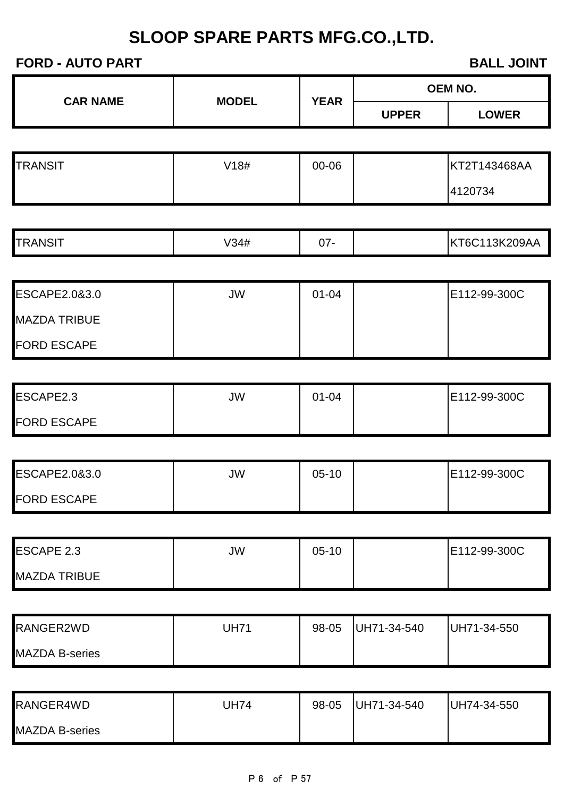### **FORD - AUTO PART BALL JOINT**

|                 | <b>MODEL</b> | <b>YEAR</b> |              | <b>OEM NO.</b> |
|-----------------|--------------|-------------|--------------|----------------|
| <b>CAR NAME</b> |              |             | <b>UPPER</b> | <b>LOWER</b>   |
|                 |              |             |              |                |

| <b>TRANSIT</b> | V18# | 00-06 | KT2T143468AA |
|----------------|------|-------|--------------|
|                |      |       | 4120734      |

| <b>ESCAPE2.0&amp;3.0</b> | JW | $01 - 04$ | E112-99-300C |
|--------------------------|----|-----------|--------------|
| <b>MAZDA TRIBUE</b>      |    |           |              |
| <b>FORD ESCAPE</b>       |    |           |              |

| ESCAPE2.3          | JW | 01-04 | E112-99-300C |
|--------------------|----|-------|--------------|
| <b>FORD ESCAPE</b> |    |       |              |

| ESCAPE2.0&3.0      | JW | $05-10$ | E112-99-300C |
|--------------------|----|---------|--------------|
| <b>FORD ESCAPE</b> |    |         |              |

| <b>ESCAPE 2.3</b>   | JW | $05-10$ | E112-99-300C |
|---------------------|----|---------|--------------|
| <b>MAZDA TRIBUE</b> |    |         |              |

| RANGER2WD             | <b>JH71</b> | 98-05 | UH71-34-540 | UH71-34-550 |
|-----------------------|-------------|-------|-------------|-------------|
| <b>MAZDA B-series</b> |             |       |             |             |

| RANGER4WD             | JH74 | 98-05 | UH71-34-540 | UH74-34-550 |
|-----------------------|------|-------|-------------|-------------|
| <b>MAZDA B-series</b> |      |       |             |             |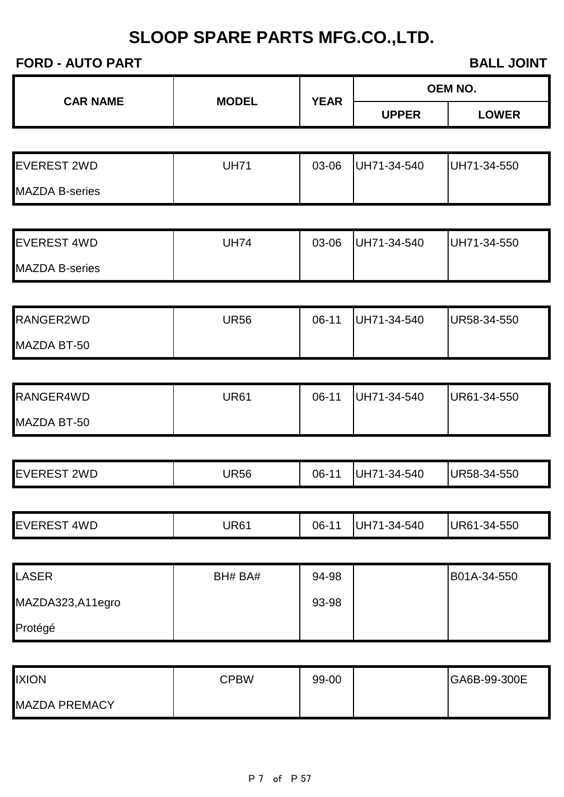### **FORD - AUTO PART BALL JOINT**

|                       |              |             |              | <b>OEM NO.</b> |
|-----------------------|--------------|-------------|--------------|----------------|
| <b>CAR NAME</b>       | <b>MODEL</b> | <b>YEAR</b> | <b>UPPER</b> | <b>LOWER</b>   |
|                       |              |             |              |                |
| <b>EVEREST 2WD</b>    | <b>UH71</b>  | 03-06       | UH71-34-540  | UH71-34-550    |
| <b>MAZDA B-series</b> |              |             |              |                |
|                       |              |             |              |                |
| <b>EVEREST 4WD</b>    | <b>UH74</b>  | 03-06       | UH71-34-540  | UH71-34-550    |
| <b>MAZDA B-series</b> |              |             |              |                |
|                       |              |             |              |                |
| RANGER2WD             | <b>UR56</b>  | $06-11$     | UH71-34-540  | UR58-34-550    |
| MAZDA BT-50           |              |             |              |                |
|                       |              |             |              |                |
| RANGER4WD             | <b>UR61</b>  | $06-11$     | UH71-34-540  | UR61-34-550    |
| MAZDA BT-50           |              |             |              |                |
|                       |              |             |              |                |
| <b>EVEREST 2WD</b>    | <b>UR56</b>  | $06-11$     | UH71-34-540  | UR58-34-550    |
|                       |              |             |              |                |
| <b>EVEREST 4WD</b>    | <b>UR61</b>  | $06-11$     | UH71-34-540  | UR61-34-550    |
|                       |              |             |              |                |
| <b>LASER</b>          | BH# BA#      | 94-98       |              | B01A-34-550    |
| MAZDA323,A11egro      |              | 93-98       |              |                |
| Protégé               |              |             |              |                |
| <b>IXION</b>          | <b>CPBW</b>  | 99-00       |              | GA6B-99-300E   |
| <b>MAZDA PREMACY</b>  |              |             |              |                |
|                       |              |             |              |                |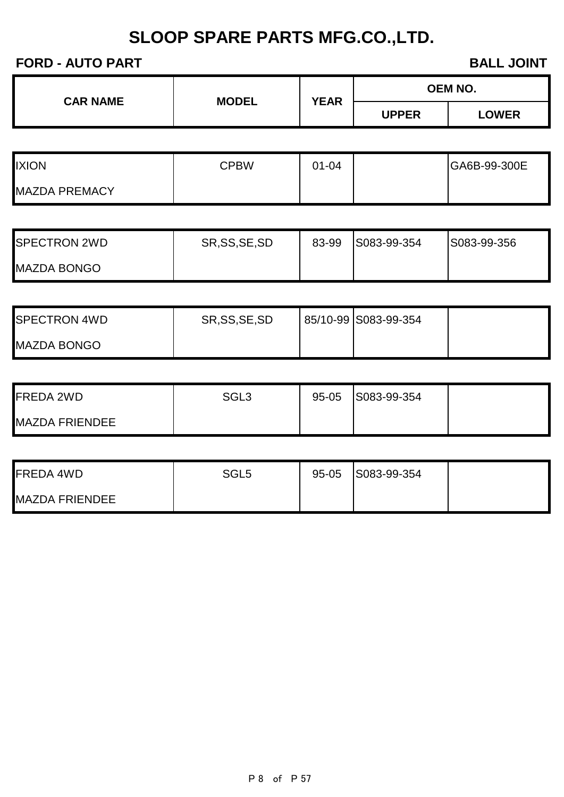### **FORD - AUTO PART BALL JOINT**

|  | <b>YEAR</b>                     | <b>OEM NO.</b> |              |              |
|--|---------------------------------|----------------|--------------|--------------|
|  | <b>CAR NAME</b><br><b>MODEL</b> |                | <b>UPPER</b> | <b>LOWER</b> |

| <b>IXION</b>         | <b>CPBW</b> | $01 - 04$ | GA6B-99-300E |
|----------------------|-------------|-----------|--------------|
| <b>MAZDA PREMACY</b> |             |           |              |

| <b>I</b> SPECTRON 2WD | SR, SS, SE, SD | 83-99 | S083-99-354 | S083-99-356 |
|-----------------------|----------------|-------|-------------|-------------|
| <b>MAZDA BONGO</b>    |                |       |             |             |

| <b>SPECTRON 4WD</b> | SR, SS, SE, SD | 85/10-99 S083-99-354 |  |
|---------------------|----------------|----------------------|--|
| <b>MAZDA BONGO</b>  |                |                      |  |

| <b>FREDA 2WD</b>      | SGL <sub>3</sub> | $95 - 05$ | S083-99-354 |  |
|-----------------------|------------------|-----------|-------------|--|
| <b>MAZDA FRIENDEE</b> |                  |           |             |  |

| <b>FREDA 4WD</b>      | SGL <sub>5</sub> | $95 - 05$ | S083-99-354 |  |
|-----------------------|------------------|-----------|-------------|--|
| <b>MAZDA FRIENDEE</b> |                  |           |             |  |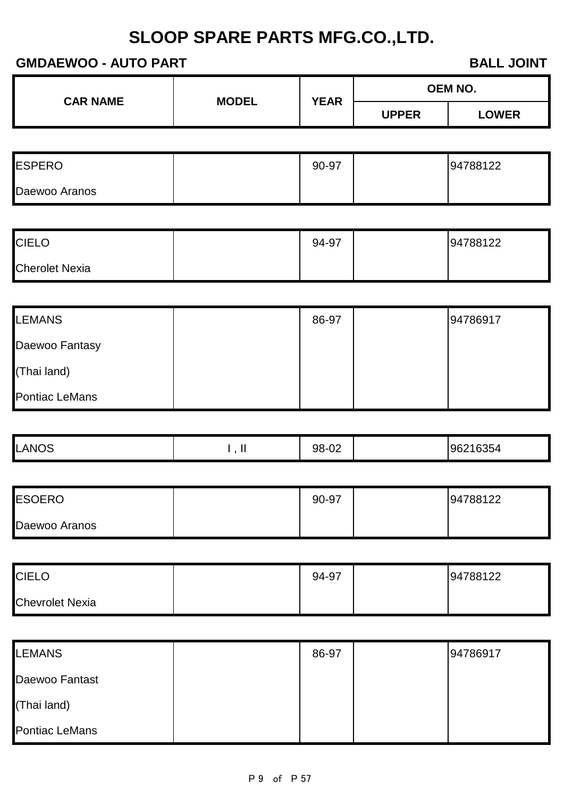### **GMDAEWOO - AUTO PART BALL JOINT**

| <b>CAR NAME</b> | <b>MODEL</b> | <b>YEAR</b> | <b>OEM NO.</b> |              |
|-----------------|--------------|-------------|----------------|--------------|
|                 |              |             | <b>JPPER</b>   | <b>LOWER</b> |

| <b>ESPERO</b> | 90-97 | 94788122 |
|---------------|-------|----------|
| Daewoo Aranos |       |          |

| <b>CIELO</b>          | 94-97 | 94788122 |
|-----------------------|-------|----------|
| <b>Cherolet Nexia</b> |       |          |

| <b>LEMANS</b>         | 86-97 | 94786917 |
|-----------------------|-------|----------|
| Daewoo Fantasy        |       |          |
| (Thai land)           |       |          |
| <b>Pontiac LeMans</b> |       |          |

| <b>ESOERO</b> | 90-97 | 94788122 |
|---------------|-------|----------|
| Daewoo Aranos |       |          |

| <b>CIELO</b>           | 94-97 | 94788122 |
|------------------------|-------|----------|
| <b>Chevrolet Nexia</b> |       |          |

| <b>LEMANS</b>         | 86-97 | 94786917 |
|-----------------------|-------|----------|
| Daewoo Fantast        |       |          |
| (Thai land)           |       |          |
| <b>Pontiac LeMans</b> |       |          |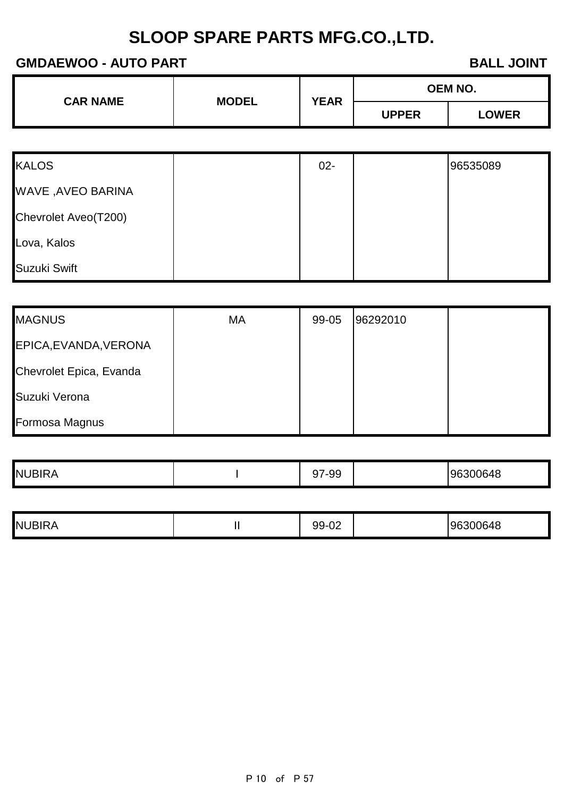### **GMDAEWOO - AUTO PART BALL JOINT**

| <b>CAR NAME</b> | <b>MODEL</b> | <b>YEAR</b> |              | OEM NO.      |
|-----------------|--------------|-------------|--------------|--------------|
|                 |              |             | <b>UPPER</b> | <b>.OWER</b> |

| <b>KALOS</b>         | $02 -$ | 96535089 |
|----------------------|--------|----------|
| WAVE , AVEO BARINA   |        |          |
| Chevrolet Aveo(T200) |        |          |
| Lova, Kalos          |        |          |
| Suzuki Swift         |        |          |

| <b>MAGNUS</b>           | МA | 99-05 | 96292010 |  |
|-------------------------|----|-------|----------|--|
| EPICA, EVANDA, VERONA   |    |       |          |  |
| Chevrolet Epica, Evanda |    |       |          |  |
| Suzuki Verona           |    |       |          |  |
| Formosa Magnus          |    |       |          |  |

|  | <b>NUBIRA</b> |  | ⌒っ<br>-99<br>. J I |  | 300648<br>ч |
|--|---------------|--|--------------------|--|-------------|
|--|---------------|--|--------------------|--|-------------|

| .სპ00648<br>ິ<br>ັບ∠<br>. . | <b>NUBIRA</b> |  | $\sim$<br>aa <sub>-l</sub> |  | $\sim$ $\sim$ $\sim$<br>96. |
|-----------------------------|---------------|--|----------------------------|--|-----------------------------|
|-----------------------------|---------------|--|----------------------------|--|-----------------------------|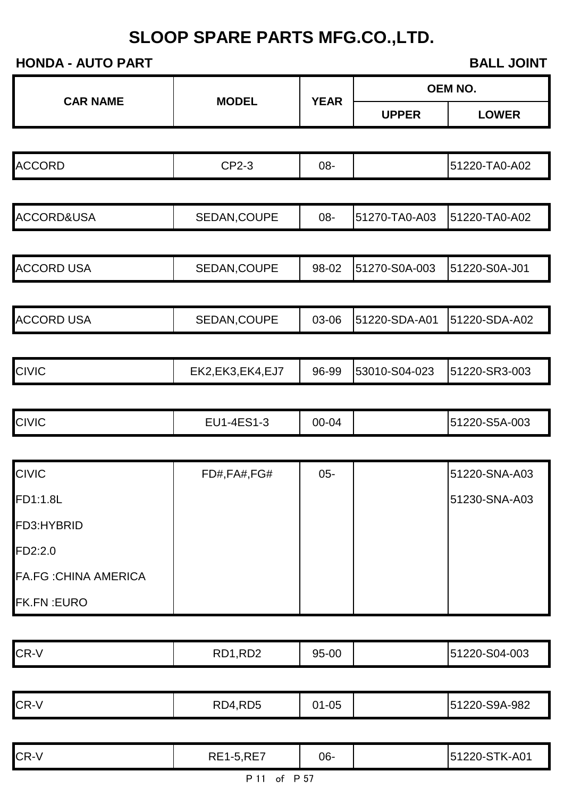|                              |                   |             | <b>OEM NO.</b> |               |  |
|------------------------------|-------------------|-------------|----------------|---------------|--|
| <b>CAR NAME</b>              | <b>MODEL</b>      | <b>YEAR</b> | <b>UPPER</b>   | <b>LOWER</b>  |  |
|                              |                   |             |                |               |  |
| <b>ACCORD</b>                | CP2-3             | 08-         |                | 51220-TA0-A02 |  |
|                              |                   |             |                |               |  |
| ACCORD&USA                   | SEDAN, COUPE      | 08-         | 51270-TA0-A03  | 51220-TA0-A02 |  |
| <b>ACCORD USA</b>            | SEDAN, COUPE      | 98-02       | 51270-S0A-003  | 51220-S0A-J01 |  |
| <b>ACCORD USA</b>            | SEDAN, COUPE      | 03-06       | 51220-SDA-A01  | 51220-SDA-A02 |  |
| <b>CIVIC</b>                 | EK2,EK3,EK4,EJ7   | 96-99       | 53010-S04-023  | 51220-SR3-003 |  |
| <b>CIVIC</b>                 | EU1-4ES1-3        | 00-04       |                | 51220-S5A-003 |  |
|                              |                   |             |                |               |  |
| <b>CIVIC</b>                 | FD#, FA#, FG#     | $05 -$      |                | 51220-SNA-A03 |  |
| FD1:1.8L                     |                   |             |                | 51230-SNA-A03 |  |
| FD3:HYBRID                   |                   |             |                |               |  |
| FD2:2.0                      |                   |             |                |               |  |
| <b>FA.FG : CHINA AMERICA</b> |                   |             |                |               |  |
| <b>FK.FN: EURO</b>           |                   |             |                |               |  |
| CR-V                         | RD1,RD2           | 95-00       |                | 51220-S04-003 |  |
|                              |                   |             |                |               |  |
| CR-V                         | RD4,RD5           | $01 - 05$   |                | 51220-S9A-982 |  |
| CR-V                         | <b>RE1-5, RE7</b> | 06-         |                | 51220-STK-A01 |  |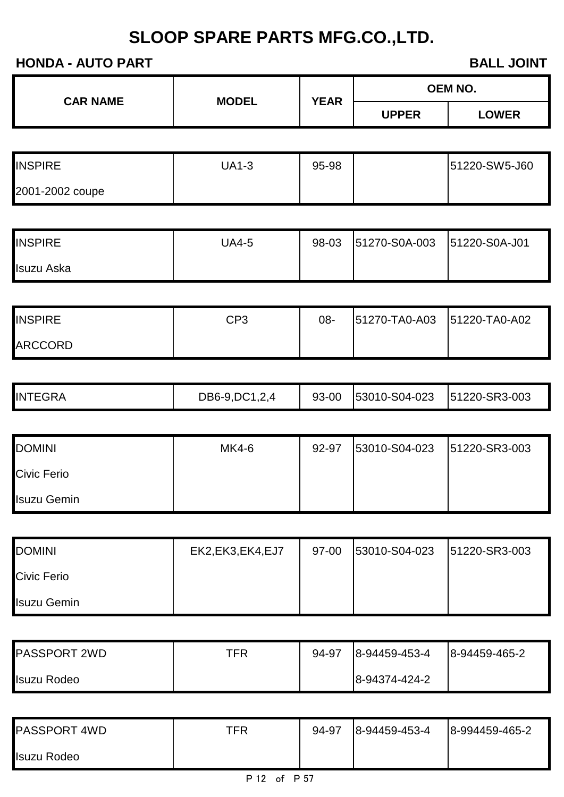| <b>CAR NAME</b> | <b>MODEL</b> | <b>YEAR</b> |              | <b>OEM NO.</b> |
|-----------------|--------------|-------------|--------------|----------------|
|                 |              |             | <b>UPPER</b> | <b>LOWER</b>   |

| <b>INSPIRE</b>  | JA1-3 | 95-98 | 51220-SW5-J60 |
|-----------------|-------|-------|---------------|
| 2001-2002 coupe |       |       |               |

| <b>INSPIRE</b> | UA4-5 | 98-03 | 51270-S0A-003 | 51220-S0A-J01 |
|----------------|-------|-------|---------------|---------------|
| Isuzu Aska     |       |       |               |               |

| <b>INSPIRE</b> | CP3 | 08- | 51270-TA0-A03 | 51220-TA0-A02 |
|----------------|-----|-----|---------------|---------------|
| <b>ARCCORD</b> |     |     |               |               |

|  | <b>INTEGRA</b> | DB6-9, DC1, 2, 4 | 93-00 | 53010-S04-023 | 51220-SR3-003 |
|--|----------------|------------------|-------|---------------|---------------|
|--|----------------|------------------|-------|---------------|---------------|

| <b>DOMINI</b>      | MK4-6 | 92-97 | 53010-S04-023 | 51220-SR3-003 |
|--------------------|-------|-------|---------------|---------------|
| <b>Civic Ferio</b> |       |       |               |               |
| <b>Isuzu Gemin</b> |       |       |               |               |

| <b>DOMINI</b>      | EK2, EK3, EK4, EJ7 | 97-00 | 53010-S04-023 | 51220-SR3-003 |
|--------------------|--------------------|-------|---------------|---------------|
| <b>Civic Ferio</b> |                    |       |               |               |
| <b>Isuzu Gemin</b> |                    |       |               |               |

| <b>PASSPORT 2WD</b> | TFR | 94-97 | 8-94459-453-4 | 8-94459-465-2 |
|---------------------|-----|-------|---------------|---------------|
| Isuzu Rodeo         |     |       | 8-94374-424-2 |               |

| <b>PASSPORT 4WD</b> | TFR | 94-97 | 8-94459-453-4 | 8-994459-465-2 |
|---------------------|-----|-------|---------------|----------------|
| <b>Isuzu Rodeo</b>  |     |       |               |                |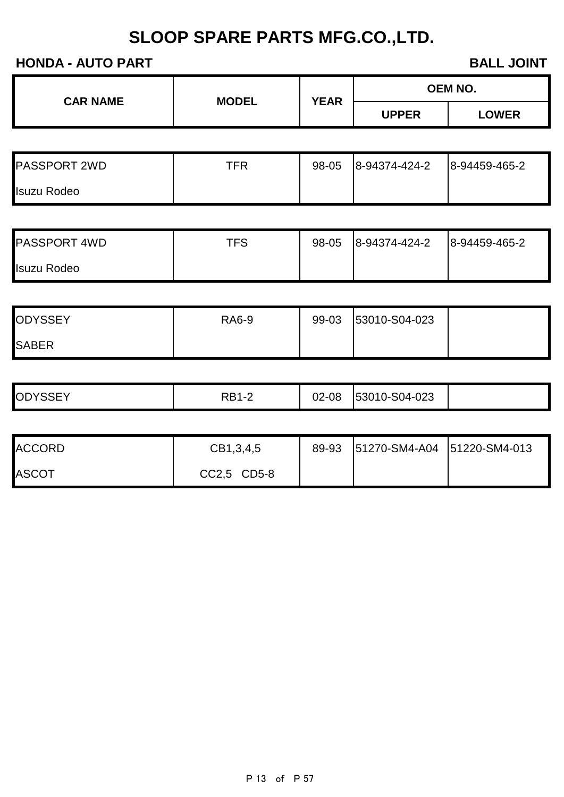| <b>CAR NAME</b> | <b>MODEL</b> | <b>YEAR</b> | OEM NO.      |              |
|-----------------|--------------|-------------|--------------|--------------|
|                 |              |             | <b>JPPER</b> | <b>LOWER</b> |

| <b>PASSPORT 2WD</b> | TFR | 98-05 | 8-94374-424-2 | 8-94459-465-2 |
|---------------------|-----|-------|---------------|---------------|
| <b>Isuzu Rodeo</b>  |     |       |               |               |

| <b>PASSPORT 4WD</b> | TFS | 98-05 | 8-94374-424-2 | 8-94459-465-2 |
|---------------------|-----|-------|---------------|---------------|
| <b>Isuzu Rodeo</b>  |     |       |               |               |

| <b>ODYSSEY</b> | <b>RA6-9</b> | 99-03 | 53010-S04-023 |  |
|----------------|--------------|-------|---------------|--|
| <b>SABER</b>   |              |       |               |  |

| <b>ODYSSEY</b> | י גם ח<br>۲D. | 02-08<br>$\cap$ | 53010-S04-023 |  |
|----------------|---------------|-----------------|---------------|--|
|                |               |                 |               |  |

| <b>ACCORD</b> | CB1,3,4,5   | 89-93 | 51270-SM4-A04 51220-SM4-013 |  |
|---------------|-------------|-------|-----------------------------|--|
| <b>ASCOT</b>  | CC2,5 CD5-8 |       |                             |  |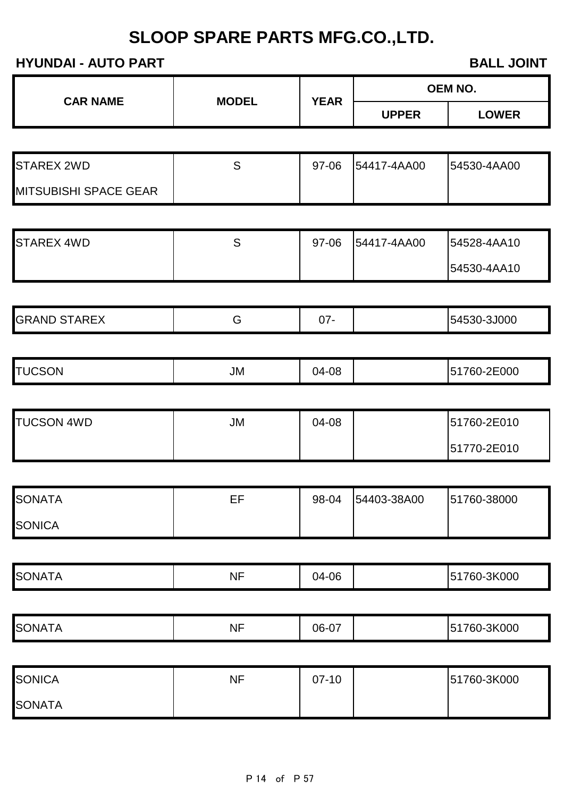|                              |              |             |                   | OEM NO.      |
|------------------------------|--------------|-------------|-------------------|--------------|
| <b>CAR NAME</b>              | <b>MODEL</b> | <b>YEAR</b> | <b>UPPER</b>      | <b>LOWER</b> |
|                              |              |             |                   |              |
| <b>STAREX 2WD</b>            | S            | 97-06       | 54417-4AA00       | 54530-4AA00  |
| <b>MITSUBISHI SPACE GEAR</b> |              |             |                   |              |
|                              |              |             |                   |              |
| <b>STAREX 4WD</b>            | S            | 97-06       | 54417-4AA00       | 54528-4AA10  |
|                              |              |             |                   | 54530-4AA10  |
| <b>GRAND STAREX</b>          | G            | $07 -$      |                   | 54530-3J000  |
|                              |              |             |                   |              |
| <b>TUCSON</b>                | <b>JM</b>    | 04-08       |                   | 51760-2E000  |
|                              |              |             |                   |              |
| <b>TUCSON 4WD</b>            | <b>JM</b>    | 04-08       |                   | 51760-2E010  |
|                              |              |             |                   | 51770-2E010  |
| <b>SONATA</b>                | EF           |             | 98-04 54403-38A00 | 51760-38000  |
| <b>SONICA</b>                |              |             |                   |              |
|                              |              |             |                   |              |
| <b>SONATA</b>                | <b>NF</b>    | 04-06       |                   | 51760-3K000  |
| <b>SONATA</b>                | <b>NF</b>    | 06-07       |                   | 51760-3K000  |
|                              |              |             |                   |              |
| <b>SONICA</b>                | <b>NF</b>    | $07-10$     |                   | 51760-3K000  |
| <b>SONATA</b>                |              |             |                   |              |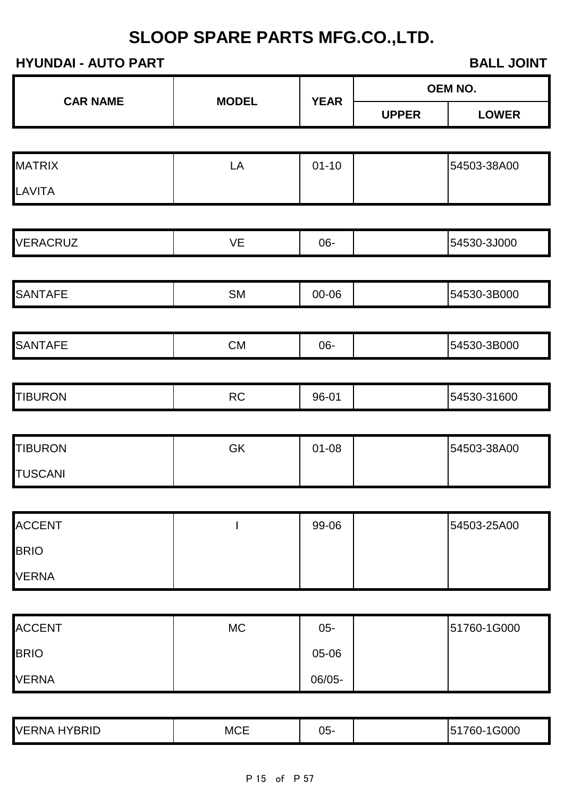|                 |              |             |              | OEM NO.      |
|-----------------|--------------|-------------|--------------|--------------|
| <b>CAR NAME</b> | <b>MODEL</b> | <b>YEAR</b> | <b>UPPER</b> | <b>LOWER</b> |
|                 |              |             |              |              |
| <b>MATRIX</b>   | LA           | $01 - 10$   |              | 54503-38A00  |
| LAVITA          |              |             |              |              |
|                 |              |             |              |              |
| <b>VERACRUZ</b> | VE           | 06-         |              | 54530-3J000  |
| <b>SANTAFE</b>  | SM           | 00-06       |              | 54530-3B000  |
| <b>SANTAFE</b>  | CM           | 06-         |              | 54530-3B000  |
| <b>TIBURON</b>  | RC           | 96-01       |              | 54530-31600  |
| <b>TIBURON</b>  | GK           | $01 - 08$   |              | 54503-38A00  |
| <b>TUSCANI</b>  |              |             |              |              |
| <b>ACCENT</b>   |              | 99-06       |              | 54503-25A00  |
| <b>BRIO</b>     |              |             |              |              |
| <b>VERNA</b>    |              |             |              |              |
|                 |              |             |              |              |
| <b>ACCENT</b>   | $MC$         | $05 -$      |              | 51760-1G000  |
| <b>BRIO</b>     |              | 05-06       |              |              |
| <b>VERNA</b>    |              | 06/05-      |              |              |

| HYBRID<br><b>VERNA</b> | <b>MCE</b> | J5- |  | G000<br>.<br>∽<br>n<br> |
|------------------------|------------|-----|--|-------------------------|
|------------------------|------------|-----|--|-------------------------|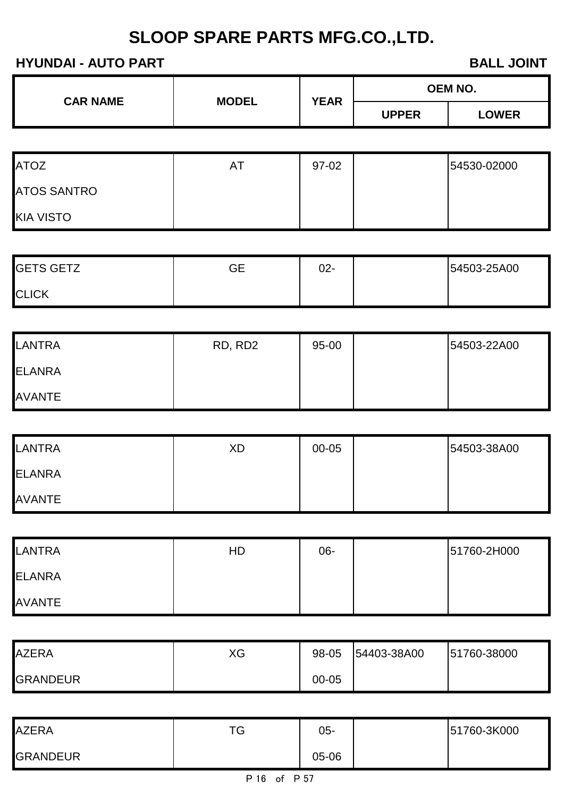| <b>CAR NAME</b> | <b>MODEL</b> | <b>YEAR</b> | OEM NO.      |              |
|-----------------|--------------|-------------|--------------|--------------|
|                 |              |             | <b>UPPER</b> | <b>_OWER</b> |

| <b>ATOZ</b>        | A | 97-02 | 54530-02000 |
|--------------------|---|-------|-------------|
| <b>ATOS SANTRO</b> |   |       |             |
| <b>KIA VISTO</b>   |   |       |             |

| <b>GETS GETZ</b> | GЕ | 02- | 54503-25A00 |
|------------------|----|-----|-------------|
| <b>CLICK</b>     |    |     |             |

| <b>LANTRA</b> | RD, RD2 | 95-00 | 54503-22A00 |
|---------------|---------|-------|-------------|
| <b>ELANRA</b> |         |       |             |
| <b>AVANTE</b> |         |       |             |

| <b>LANTRA</b> | XD | 00-05 | 54503-38A00 |
|---------------|----|-------|-------------|
| <b>ELANRA</b> |    |       |             |
| <b>AVANTE</b> |    |       |             |

| <b>LANTRA</b> | HD | 06- | 51760-2H000 |
|---------------|----|-----|-------------|
| <b>ELANRA</b> |    |     |             |
| <b>AVANTE</b> |    |     |             |

| <b>AZERA</b>    | XG | 98-05     | 54403-38A00 | 51760-38000 |
|-----------------|----|-----------|-------------|-------------|
| <b>GRANDEUR</b> |    | $00 - 05$ |             |             |

| <b>AZERA</b>    | $T^{\wedge}$ | 05-   | 51760-3K000 |
|-----------------|--------------|-------|-------------|
| <b>GRANDEUR</b> |              | 05-06 |             |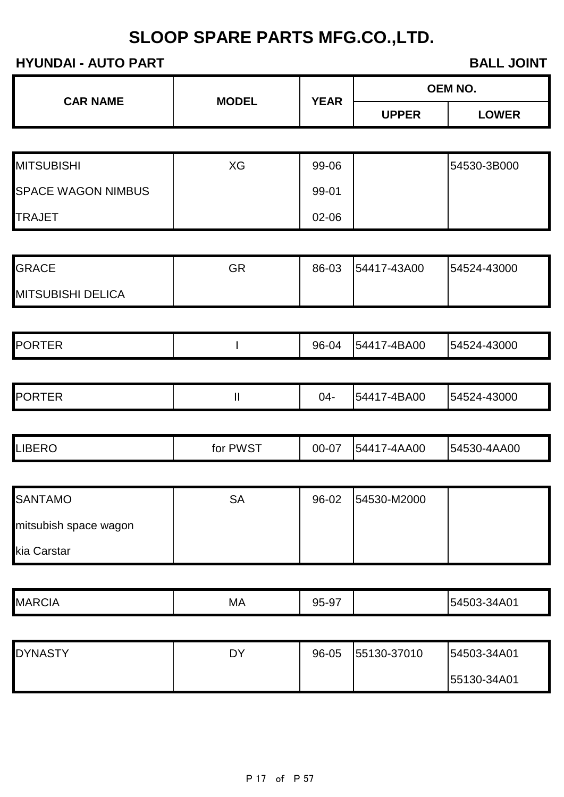|  | <b>CAR NAME</b><br><b>MODEL</b> | <b>YEAR</b> | OEM NO.      |              |
|--|---------------------------------|-------------|--------------|--------------|
|  |                                 |             | <b>UPPER</b> | <b>LOWER</b> |

| <b>MITSUBISHI</b>         | XG | 99-06 | 54530-3B000 |
|---------------------------|----|-------|-------------|
| <b>SPACE WAGON NIMBUS</b> |    | 99-01 |             |
| <b>TRAJET</b>             |    | 02-06 |             |

| <b>GRACE</b>             | GR | 86-03 | 54417-43A00 | 54524-43000 |
|--------------------------|----|-------|-------------|-------------|
| <b>MITSUBISHI DELICA</b> |    |       |             |             |

|  | <b>PORTER</b> |  | $96 -$<br>. O4 | '-4BA00<br>- 15441 | 54524-43000 |
|--|---------------|--|----------------|--------------------|-------------|
|--|---------------|--|----------------|--------------------|-------------|

|  | <b>PORTER</b> | . . | 14 | '-4BA00<br>15441 | 54524-43000 |
|--|---------------|-----|----|------------------|-------------|
|--|---------------|-----|----|------------------|-------------|

|  | <b>LIBERO</b> | . PWST<br>tor | 00-07 | 7-4AA00<br>15441 | 54530-4AA00 |
|--|---------------|---------------|-------|------------------|-------------|
|--|---------------|---------------|-------|------------------|-------------|

| <b>SANTAMO</b>        | SA | 96-02 | 54530-M2000 |  |
|-----------------------|----|-------|-------------|--|
| mitsubish space wagon |    |       |             |  |
| kia Carstar           |    |       |             |  |

| <b>MARCIA</b> | MА | $\sim$ $\rightarrow$<br>95-9. | 34A01<br>154503- |
|---------------|----|-------------------------------|------------------|

| <b>DYNASTY</b> | DY | 96-05 | 55130-37010 | 54503-34A01 |
|----------------|----|-------|-------------|-------------|
|                |    |       |             | 55130-34A01 |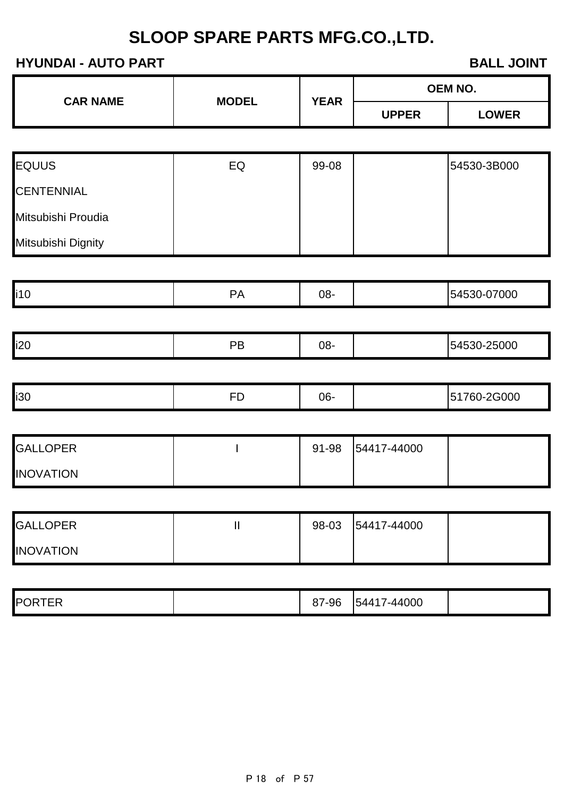| <b>CAR NAME</b> | <b>MODEL</b> | <b>YEAR</b> | <b>OEM NO.</b> |              |  |
|-----------------|--------------|-------------|----------------|--------------|--|
|                 |              |             | <b>UPPER</b>   | <b>LOWER</b> |  |

| <b>EQUUS</b>       | EQ | 99-08 | 54530-3B000 |
|--------------------|----|-------|-------------|
| <b>CENTENNIAL</b>  |    |       |             |
| Mitsubishi Proudia |    |       |             |
| Mitsubishi Dignity |    |       |             |

| li10 | $\sim$ | 08- | $-07000$<br>$1 - \alpha$<br>-04'<br>. |
|------|--------|-----|---------------------------------------|
|      |        |     |                                       |

|  | i20 |  | JO. |  | $\sim$ $\sim$<br>UC.<br> |
|--|-----|--|-----|--|--------------------------|
|--|-----|--|-----|--|--------------------------|

|  | i30 | -- | -30 |  |  |
|--|-----|----|-----|--|--|
|--|-----|----|-----|--|--|

| <b>GALLOPER</b>  | 91-98 | 54417-44000 |  |
|------------------|-------|-------------|--|
| <b>INOVATION</b> |       |             |  |

| <b>GALLOPER</b>  | 98-03 | 54417-44000 |  |
|------------------|-------|-------------|--|
| <b>INOVATION</b> |       |             |  |

| <b>PORT</b><br>TER | 7-96<br>o<br>. U I | 44000-<br>5441 |  |
|--------------------|--------------------|----------------|--|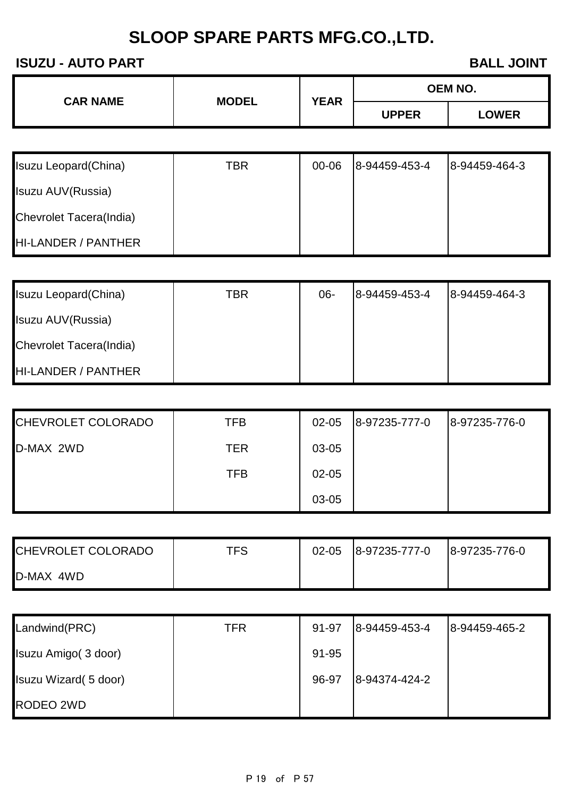| <b>CAR NAME</b> | <b>MODEL</b> | <b>YEAR</b> | <b>OEM NO.</b> |              |
|-----------------|--------------|-------------|----------------|--------------|
|                 |              |             | <b>UPPER</b>   | <b>LOWER</b> |

| <b>Isuzu Leopard (China)</b> | TBR | 00-06 | 8-94459-453-4 | 8-94459-464-3 |
|------------------------------|-----|-------|---------------|---------------|
| Isuzu AUV(Russia)            |     |       |               |               |
| Chevrolet Tacera(India)      |     |       |               |               |
| HI-LANDER / PANTHER          |     |       |               |               |

| Isuzu Leopard (China)          | TBR | 06- | 8-94459-453-4 | 8-94459-464-3 |
|--------------------------------|-----|-----|---------------|---------------|
| Isuzu AUV(Russia)              |     |     |               |               |
| <b>Chevrolet Tacera(India)</b> |     |     |               |               |
| <b>HI-LANDER / PANTHER</b>     |     |     |               |               |

| <b>CHEVROLET COLORADO</b> | TFB | $02 - 05$ | 8-97235-777-0 | 8-97235-776-0 |
|---------------------------|-----|-----------|---------------|---------------|
| D-MAX 2WD                 | TER | 03-05     |               |               |
|                           | TFB | $02 - 05$ |               |               |
|                           |     | 03-05     |               |               |

| CHEVROLET COLORADO | <b>TFS</b> | $02 - 05$ | 8-97235-777-0 | 8-97235-776-0 |
|--------------------|------------|-----------|---------------|---------------|
| D-MAX 4WD          |            |           |               |               |

| Landwind(PRC)         | TFR | 91-97 | 8-94459-453-4 | 8-94459-465-2 |
|-----------------------|-----|-------|---------------|---------------|
| Isuzu Amigo (3 door)  |     | 91-95 |               |               |
| Isuzu Wizard (5 door) |     | 96-97 | 8-94374-424-2 |               |
| RODEO 2WD             |     |       |               |               |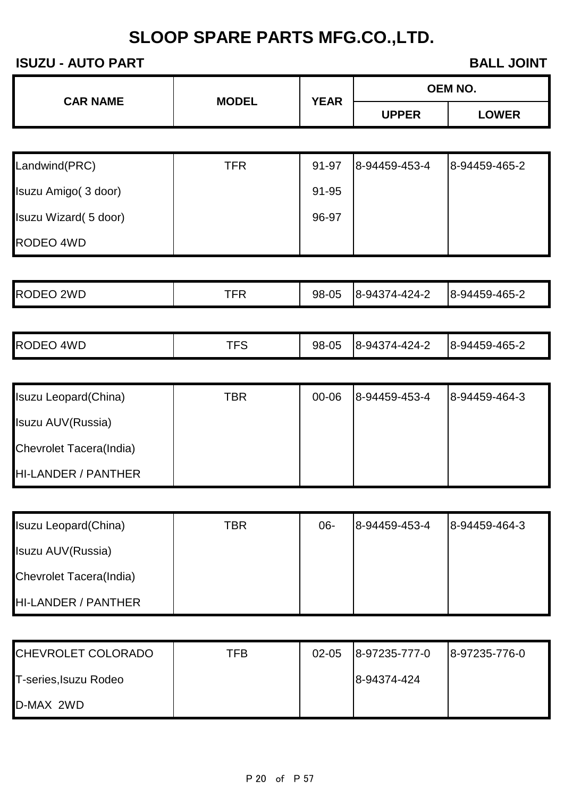| <b>MODEL</b><br><b>CAR NAME</b> | <b>YEAR</b> | <b>OEM NO.</b> |              |
|---------------------------------|-------------|----------------|--------------|
|                                 |             |                | <b>UPPER</b> |

| Landwind(PRC)         | TFR | 91-97 | 8-94459-453-4 | 8-94459-465-2 |
|-----------------------|-----|-------|---------------|---------------|
| Isuzu Amigo (3 door)  |     | 91-95 |               |               |
| Isuzu Wizard (5 door) |     | 96-97 |               |               |
| RODEO 4WD             |     |       |               |               |

| <b>RODEO</b><br>2WD | ---<br>ิ⊢⊾ | 98-05 | 8-94374-424-2 | 8-94459-465-2 |
|---------------------|------------|-------|---------------|---------------|
|---------------------|------------|-------|---------------|---------------|

| <b>RODEO</b><br>4WD | ᆍᆖ<br>-- | 98-05 | 8-94374-424-2 | 8-94459-465-2 |  |
|---------------------|----------|-------|---------------|---------------|--|
|---------------------|----------|-------|---------------|---------------|--|

| Isuzu Leopard (China)          | TBR | 00-06 | 8-94459-453-4 | 8-94459-464-3 |
|--------------------------------|-----|-------|---------------|---------------|
| Isuzu AUV(Russia)              |     |       |               |               |
| <b>Chevrolet Tacera(India)</b> |     |       |               |               |
| HI-LANDER / PANTHER            |     |       |               |               |

| Isuzu Leopard (China)          | TBR | 06- | 8-94459-453-4 | 8-94459-464-3 |
|--------------------------------|-----|-----|---------------|---------------|
| Isuzu AUV(Russia)              |     |     |               |               |
| <b>Chevrolet Tacera(India)</b> |     |     |               |               |
| HI-LANDER / PANTHER            |     |     |               |               |

| CHEVROLET COLORADO    | TFB | $02 - 05$ | 8-97235-777-0 | 8-97235-776-0 |
|-----------------------|-----|-----------|---------------|---------------|
| T-series, Isuzu Rodeo |     |           | 8-94374-424   |               |
| D-MAX 2WD             |     |           |               |               |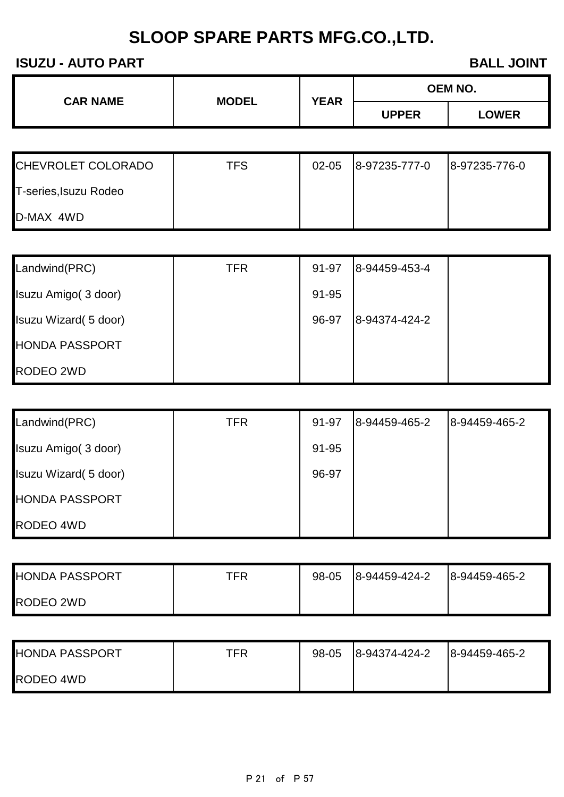| <b>CAR NAME</b> | <b>MODEL</b> | <b>YEAR</b> | OEM NO.      |              |
|-----------------|--------------|-------------|--------------|--------------|
|                 |              |             | <b>UPPER</b> | <b>LOWER</b> |

| <b>CHEVROLET COLORADO</b> | TFS | $02 - 05$ | 8-97235-777-0 | 8-97235-776-0 |
|---------------------------|-----|-----------|---------------|---------------|
| T-series, Isuzu Rodeo     |     |           |               |               |
| D-MAX 4WD                 |     |           |               |               |

| Landwind(PRC)         | <b>TFR</b> | 91-97 | 8-94459-453-4 |  |
|-----------------------|------------|-------|---------------|--|
| Isuzu Amigo (3 door)  |            | 91-95 |               |  |
| Isuzu Wizard (5 door) |            | 96-97 | 8-94374-424-2 |  |
| <b>HONDA PASSPORT</b> |            |       |               |  |
| RODEO 2WD             |            |       |               |  |

| Landwind(PRC)         | TFR | 91-97 | 8-94459-465-2 | 8-94459-465-2 |
|-----------------------|-----|-------|---------------|---------------|
| Isuzu Amigo (3 door)  |     | 91-95 |               |               |
| Isuzu Wizard (5 door) |     | 96-97 |               |               |
| <b>HONDA PASSPORT</b> |     |       |               |               |
| RODEO 4WD             |     |       |               |               |

| <b>HONDA PASSPORT</b> | TFR | 98-05 | 8-94459-424-2 | 8-94459-465-2 |
|-----------------------|-----|-------|---------------|---------------|
| RODEO 2WD             |     |       |               |               |

| <b>HONDA PASSPORT</b> | TFR | 98-05 | 8-94374-424-2 | 8-94459-465-2 |
|-----------------------|-----|-------|---------------|---------------|
| RODEO 4WD             |     |       |               |               |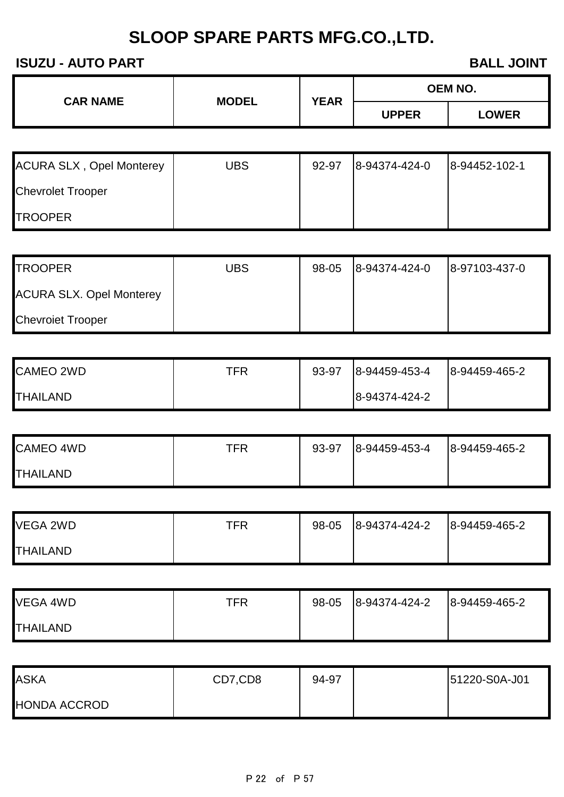| <b>CAR NAME</b> | <b>MODEL</b> | <b>YEAR</b> | OEM NO.      |              |
|-----------------|--------------|-------------|--------------|--------------|
|                 |              |             | <b>UPPER</b> | <b>LOWER</b> |

| <b>ACURA SLX, Opel Monterey</b> | UBS | 92-97 | 8-94374-424-0 | 8-94452-102-1 |
|---------------------------------|-----|-------|---------------|---------------|
| <b>Chevrolet Trooper</b>        |     |       |               |               |
| <b>TROOPER</b>                  |     |       |               |               |

| <b>TROOPER</b>                  | <b>UBS</b> | 98-05 | 8-94374-424-0 | 8-97103-437-0 |
|---------------------------------|------------|-------|---------------|---------------|
| <b>ACURA SLX. Opel Monterey</b> |            |       |               |               |
| <b>Chevroiet Trooper</b>        |            |       |               |               |

| <b>CAMEO 2WD</b> | TFR | 93-97 | 8-94459-453-4 | 8-94459-465-2 |
|------------------|-----|-------|---------------|---------------|
| <b>THAILAND</b>  |     |       | 8-94374-424-2 |               |

| <b>CAMEO 4WD</b> | TFR | 93-97 | 8-94459-453-4 | 8-94459-465-2 |
|------------------|-----|-------|---------------|---------------|
| <b>THAILAND</b>  |     |       |               |               |

| VEGA 2WD        | TFR | 98-05 | 8-94374-424-2 | 8-94459-465-2 |
|-----------------|-----|-------|---------------|---------------|
| <b>THAILAND</b> |     |       |               |               |

| VEGA 4WD        | TFR | 98-05 | 8-94374-424-2 | 8-94459-465-2 |
|-----------------|-----|-------|---------------|---------------|
| <b>THAILAND</b> |     |       |               |               |

| <b>ASKA</b>         | CD7,CD8 | 94-97 | 51220-S0A-J01 |
|---------------------|---------|-------|---------------|
| <b>HONDA ACCROD</b> |         |       |               |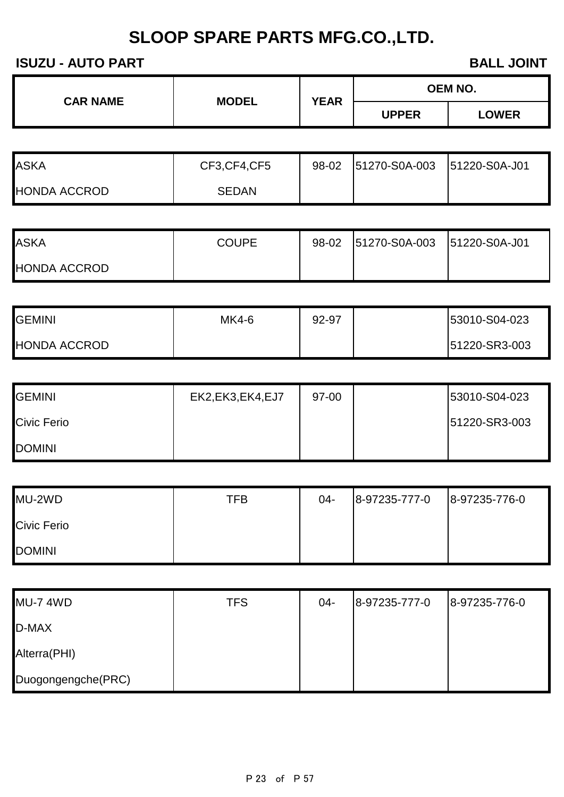| <b>CAR NAME</b> | <b>MODEL</b> | <b>YEAR</b> | <b>OEM NO.</b> |              |
|-----------------|--------------|-------------|----------------|--------------|
|                 |              |             | <b>UPPER</b>   | <b>LOWER</b> |

| ASKA                | CF3, CF4, CF5 | 98-02 51270-S0A-003 | 51220-S0A-J01 |
|---------------------|---------------|---------------------|---------------|
| <b>HONDA ACCROD</b> | <b>SEDAN</b>  |                     |               |

| <b>ASKA</b>         | <b>COUPE</b> | 98-02 | 51270-S0A-003 51220-S0A-J01 |  |
|---------------------|--------------|-------|-----------------------------|--|
| <b>HONDA ACCROD</b> |              |       |                             |  |

| <b>GEMINI</b>       | MK4-6 | 92-97 | 53010-S04-023 |
|---------------------|-------|-------|---------------|
| <b>HONDA ACCROD</b> |       |       | 51220-SR3-003 |

| <b>GEMINI</b>      | EK2, EK3, EK4, EJ7 | 97-00 | 53010-S04-023 |
|--------------------|--------------------|-------|---------------|
| <b>Civic Ferio</b> |                    |       | 51220-SR3-003 |
| <b>DOMINI</b>      |                    |       |               |

| MU-2WD             | <b>TFB</b> | 04- | 8-97235-777-0 | 8-97235-776-0 |
|--------------------|------------|-----|---------------|---------------|
| <b>Civic Ferio</b> |            |     |               |               |
| <b>DOMINI</b>      |            |     |               |               |

| <b>MU-7 4WD</b>    | <b>TFS</b> | $04 -$ | 8-97235-777-0 | 8-97235-776-0 |
|--------------------|------------|--------|---------------|---------------|
| D-MAX              |            |        |               |               |
| Alterra(PHI)       |            |        |               |               |
| Duogongengche(PRC) |            |        |               |               |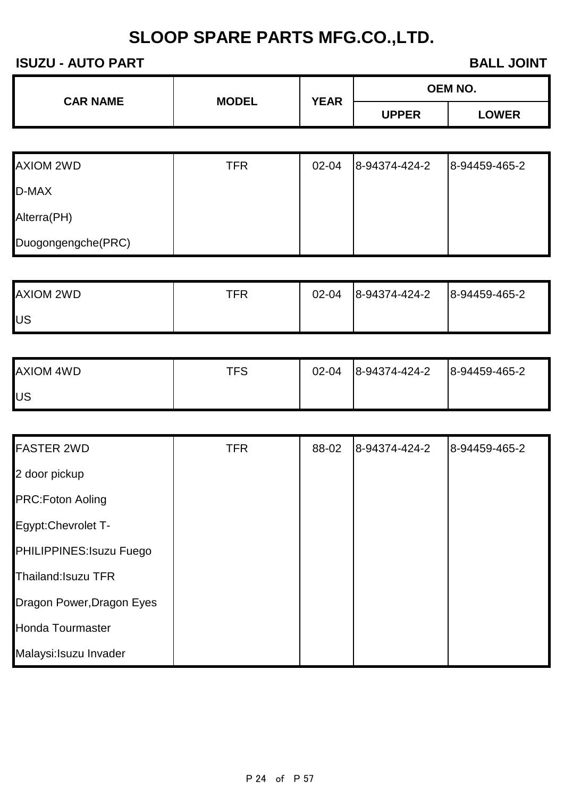| <b>CAR NAME</b> |              | <b>YEAR</b> | <b>OEM NO.</b> |
|-----------------|--------------|-------------|----------------|
|                 | <b>MODEL</b> |             | <b>UPPER</b>   |

| <b>AXIOM 2WD</b>   | TFR | 02-04 | 8-94374-424-2 | 8-94459-465-2 |
|--------------------|-----|-------|---------------|---------------|
| D-MAX              |     |       |               |               |
| Alterra(PH)        |     |       |               |               |
| Duogongengche(PRC) |     |       |               |               |

| <b>AXIOM 2WD</b> | TFR | $02 - 04$ | 8-94374-424-2 | 8-94459-465-2 |
|------------------|-----|-----------|---------------|---------------|
| lUS              |     |           |               |               |

| AXIOM 4WD | TFS | 02-04 | 8-94374-424-2 | 8-94459-465-2 |
|-----------|-----|-------|---------------|---------------|
| US        |     |       |               |               |

| <b>FASTER 2WD</b>         | <b>TFR</b> | 88-02 | 8-94374-424-2 | 8-94459-465-2 |
|---------------------------|------------|-------|---------------|---------------|
| 2 door pickup             |            |       |               |               |
| <b>PRC:Foton Aoling</b>   |            |       |               |               |
| Egypt:Chevrolet T-        |            |       |               |               |
| PHILIPPINES: Isuzu Fuego  |            |       |               |               |
| Thailand: Isuzu TFR       |            |       |               |               |
| Dragon Power, Dragon Eyes |            |       |               |               |
| <b>Honda Tourmaster</b>   |            |       |               |               |
| Malaysi: Isuzu Invader    |            |       |               |               |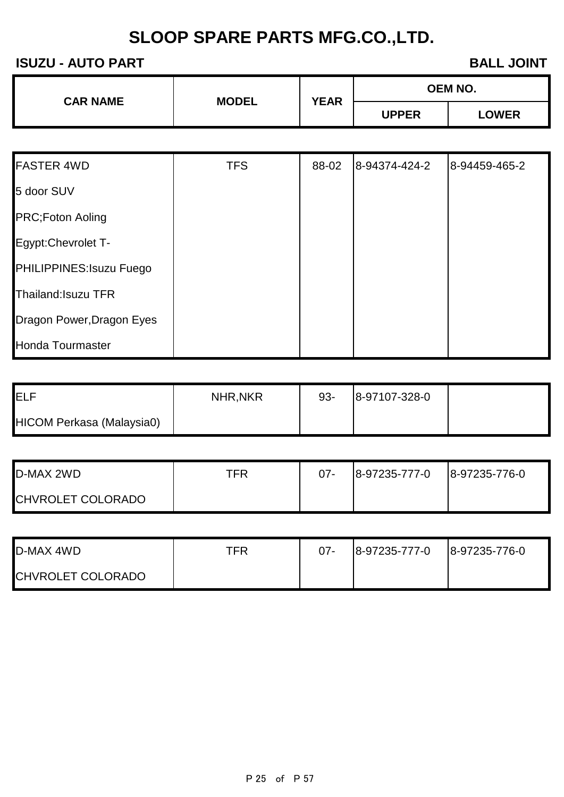| <b>CAR NAME</b> | <b>MODEL</b> | <b>YEAR</b> | <b>OEM NO.</b> |              |
|-----------------|--------------|-------------|----------------|--------------|
|                 |              |             | <b>UPPER</b>   | <b>LOWER</b> |

| <b>FASTER 4WD</b>         | <b>TFS</b> | 88-02 | 8-94374-424-2 | 8-94459-465-2 |
|---------------------------|------------|-------|---------------|---------------|
| 5 door SUV                |            |       |               |               |
| PRC;Foton Aoling          |            |       |               |               |
| Egypt:Chevrolet T-        |            |       |               |               |
| PHILIPPINES: Isuzu Fuego  |            |       |               |               |
| Thailand: Isuzu TFR       |            |       |               |               |
| Dragon Power, Dragon Eyes |            |       |               |               |
| <b>Honda Tourmaster</b>   |            |       |               |               |

| IELF                      | <b>NHR, NKR</b> | $93 -$ | 8-97107-328-0 |  |
|---------------------------|-----------------|--------|---------------|--|
| HICOM Perkasa (Malaysia0) |                 |        |               |  |

| D-MAX 2WD                | TFR | $07 -$ | 8-97235-777-0 | 8-97235-776-0 |
|--------------------------|-----|--------|---------------|---------------|
| <b>CHVROLET COLORADO</b> |     |        |               |               |

| <b>D-MAX 4WD</b>         | TFR | 07- | 8-97235-777-0 | 8-97235-776-0 |
|--------------------------|-----|-----|---------------|---------------|
| <b>CHVROLET COLORADO</b> |     |     |               |               |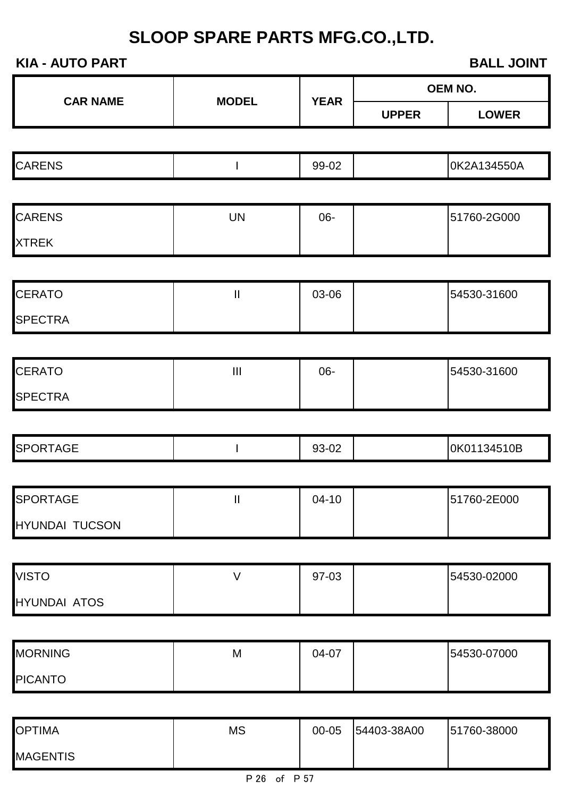| <b>KIA - AUTO PART</b><br><b>BALL JOINT</b> |                                    |             |              |              |
|---------------------------------------------|------------------------------------|-------------|--------------|--------------|
| <b>CAR NAME</b>                             | <b>MODEL</b>                       | <b>YEAR</b> |              | OEM NO.      |
|                                             |                                    |             | <b>UPPER</b> | <b>LOWER</b> |
|                                             |                                    |             |              |              |
| <b>CARENS</b>                               |                                    | 99-02       |              | 0K2A134550A  |
|                                             |                                    |             |              |              |
| <b>CARENS</b>                               | <b>UN</b>                          | 06-         |              | 51760-2G000  |
| <b>XTREK</b>                                |                                    |             |              |              |
|                                             |                                    |             |              |              |
| <b>CERATO</b>                               | $\mathop{\rm II}\nolimits$         | 03-06       |              | 54530-31600  |
| <b>SPECTRA</b>                              |                                    |             |              |              |
|                                             |                                    |             |              |              |
| <b>CERATO</b>                               | $\ensuremath{\mathsf{III}}\xspace$ | 06-         |              | 54530-31600  |
| <b>SPECTRA</b>                              |                                    |             |              |              |
|                                             |                                    |             |              |              |
| <b>SPORTAGE</b>                             |                                    | 93-02       |              | 0K01134510B  |
|                                             |                                    |             |              |              |
| <b>SPORTAGE</b>                             | $\mathbf{II}$                      | $04 - 10$   |              | 51760-2E000  |
| <b>HYUNDAI TUCSON</b>                       |                                    |             |              |              |
|                                             |                                    |             |              |              |
| <b>VISTO</b>                                | $\vee$                             | 97-03       |              | 54530-02000  |
| <b>HYUNDAI ATOS</b>                         |                                    |             |              |              |
|                                             |                                    |             |              |              |
| <b>MORNING</b>                              | M                                  | 04-07       |              | 54530-07000  |
| <b>PICANTO</b>                              |                                    |             |              |              |

| <b>OPTIMA</b>   | ΜS | 00-05 | 54403-38A00 | 51760-38000 |
|-----------------|----|-------|-------------|-------------|
| <b>MAGENTIS</b> |    |       |             |             |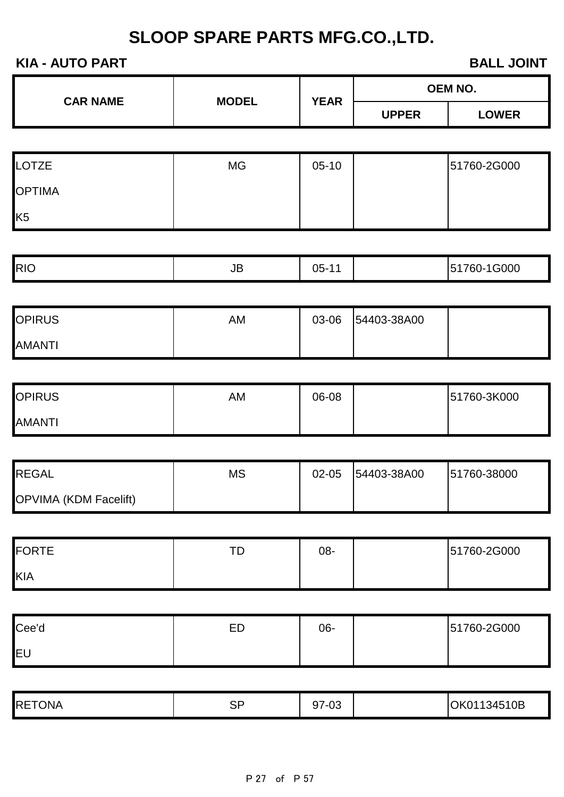| <b>KIA - AUTO PART</b><br><b>BALL JOINT</b> |                                                      |             |              |              |
|---------------------------------------------|------------------------------------------------------|-------------|--------------|--------------|
|                                             |                                                      |             |              | OEM NO.      |
| <b>CAR NAME</b>                             | <b>MODEL</b>                                         | <b>YEAR</b> | <b>UPPER</b> | <b>LOWER</b> |
|                                             |                                                      |             |              |              |
| <b>LOTZE</b>                                | <b>MG</b>                                            | $05-10$     |              | 51760-2G000  |
| <b>OPTIMA</b>                               |                                                      |             |              |              |
| K <sub>5</sub>                              |                                                      |             |              |              |
|                                             |                                                      |             |              |              |
| <b>RIO</b>                                  | $\mathsf{JB}% _{\mathsf{S}}\left( \mathsf{S}\right)$ | $05 - 11$   |              | 51760-1G000  |
|                                             |                                                      |             |              |              |
| <b>OPIRUS</b>                               | AM                                                   | 03-06       | 54403-38A00  |              |
| <b>AMANTI</b>                               |                                                      |             |              |              |
|                                             |                                                      |             |              |              |
| <b>OPIRUS</b>                               | AM                                                   | 06-08       |              | 51760-3K000  |
| <b>AMANTI</b>                               |                                                      |             |              |              |
|                                             |                                                      |             |              |              |
| <b>REGAL</b>                                | <b>MS</b>                                            | 02-05       | 54403-38A00  | 51760-38000  |
| OPVIMA (KDM Facelift)                       |                                                      |             |              |              |
|                                             |                                                      |             |              |              |
| <b>FORTE</b>                                | TD                                                   | 08-         |              | 51760-2G000  |
| <b>KIA</b>                                  |                                                      |             |              |              |
|                                             |                                                      |             |              |              |
| Cee'd                                       | ED                                                   | 06-         |              | 51760-2G000  |
| EU                                          |                                                      |             |              |              |
|                                             |                                                      |             |              |              |
| <b>RETONA</b>                               | <b>SP</b>                                            | 97-03       |              | OK01134510B  |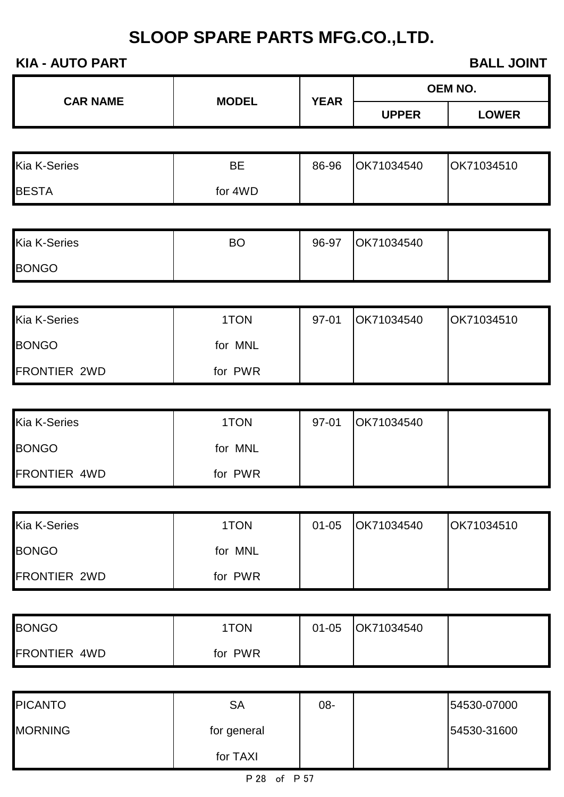| <b>KIA - AUTO PART</b><br><b>BALL JOINT</b> |              |             |              |                |
|---------------------------------------------|--------------|-------------|--------------|----------------|
| <b>CAR NAME</b>                             | <b>MODEL</b> | <b>YEAR</b> |              | <b>OEM NO.</b> |
|                                             |              |             | <b>UPPER</b> | <b>LOWER</b>   |
|                                             |              |             |              |                |
| <b>Kia K-Series</b>                         | <b>BE</b>    | 86-96       | OK71034540   | OK71034510     |
| <b>BESTA</b>                                | for 4WD      |             |              |                |
|                                             |              |             |              |                |
| Kia K-Series                                | <b>BO</b>    | 96-97       | OK71034540   |                |
| <b>BONGO</b>                                |              |             |              |                |
|                                             |              |             |              |                |
| Kia K-Series                                | 1TON         | 97-01       | OK71034540   | OK71034510     |
| <b>BONGO</b>                                | for MNL      |             |              |                |
| <b>FRONTIER 2WD</b>                         | for PWR      |             |              |                |
|                                             |              |             |              |                |
| Kia K-Series                                | 1TON         | 97-01       | OK71034540   |                |
| <b>BONGO</b>                                | for MNL      |             |              |                |
| FRONTIER 4WD                                | for PWR      |             |              |                |
|                                             |              |             |              |                |
| <b>Kia K-Series</b>                         | 1TON         | $01 - 05$   | OK71034540   | OK71034510     |
| <b>BONGO</b>                                | for MNL      |             |              |                |
| FRONTIER 2WD                                | for PWR      |             |              |                |
|                                             |              |             |              |                |
| <b>BONGO</b>                                | 1TON         | $01 - 05$   | OK71034540   |                |
| FRONTIER 4WD                                | for PWR      |             |              |                |
|                                             |              |             |              |                |
| <b>PICANTO</b>                              | <b>SA</b>    | 08-         |              | 54530-07000    |
| <b>MORNING</b>                              | for general  |             |              | 54530-31600    |

for TAXI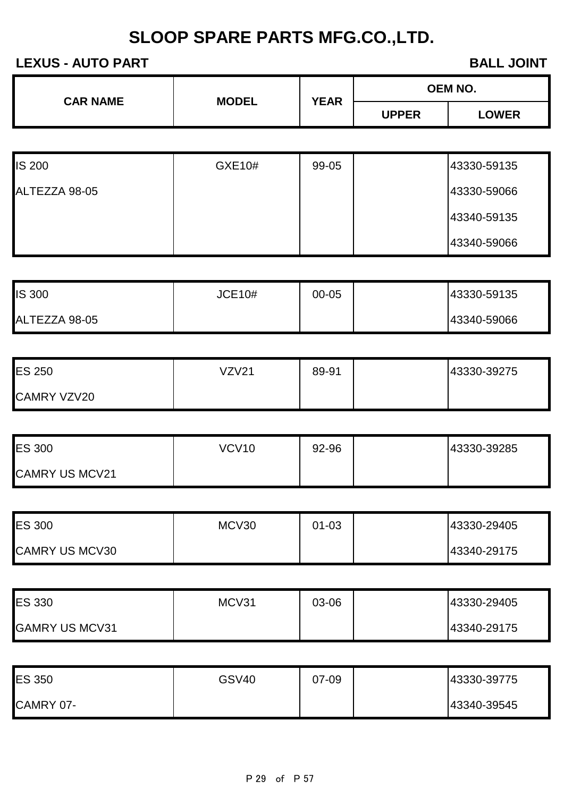#### **LEXUS - AUTO PART BALL JOINT**

| <b>CAR NAME</b> | <b>MODEL</b> | <b>OEM NO.</b><br><b>YEAR</b> |              |
|-----------------|--------------|-------------------------------|--------------|
|                 |              | <b>UPPER</b>                  | <b>LOWER</b> |

| <b>IS 200</b> | GXE10# | 99-05 | 43330-59135 |
|---------------|--------|-------|-------------|
| ALTEZZA 98-05 |        |       | 43330-59066 |
|               |        |       | 43340-59135 |
|               |        |       | 43340-59066 |

| <b>IS 300</b> | <b>JCE10#</b> | 00-05 | 43330-59135 |
|---------------|---------------|-------|-------------|
| ALTEZZA 98-05 |               |       | 43340-59066 |

| <b>ES 250</b>      | VZV21 | 89-91 | 43330-39275 |
|--------------------|-------|-------|-------------|
| <b>CAMRY VZV20</b> |       |       |             |

| <b>ES 300</b>         | <b>VCV10</b> | 92-96 | 43330-39285 |
|-----------------------|--------------|-------|-------------|
| <b>CAMRY US MCV21</b> |              |       |             |

| <b>ES 300</b>         | MCV30 | 01-03 | 43330-29405 |
|-----------------------|-------|-------|-------------|
| <b>CAMRY US MCV30</b> |       |       | 43340-29175 |

| <b>ES 330</b>         | MCV31 | 03-06 | 43330-29405 |
|-----------------------|-------|-------|-------------|
| <b>GAMRY US MCV31</b> |       |       | 43340-29175 |

| <b>ES 350</b> | <b>GSV40</b> | 07-09 | 43330-39775 |
|---------------|--------------|-------|-------------|
| CAMRY 07-     |              |       | 43340-39545 |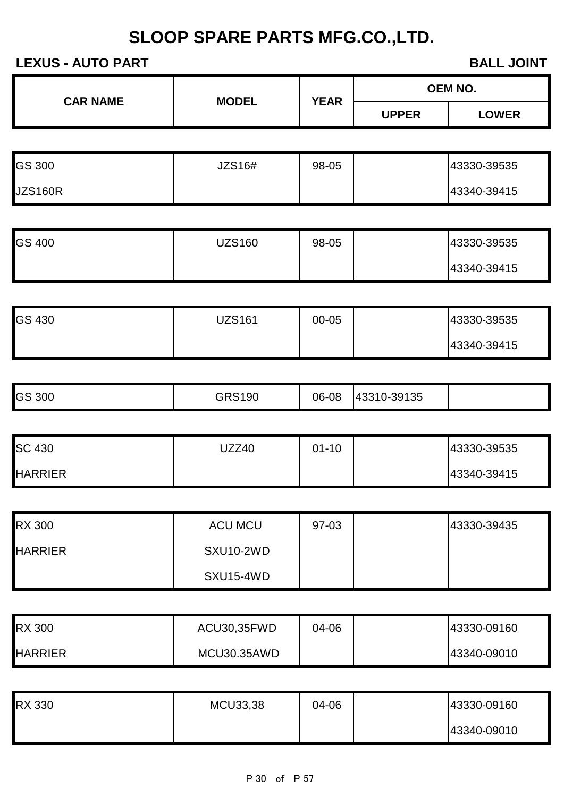**CAR NAME MODEL YEAR**

#### **LEXUS - AUTO PART BALL JOINT**

**OEM NO.**

|                |                  |           | <b>UPPER</b> | <b>LOWER</b> |
|----------------|------------------|-----------|--------------|--------------|
|                |                  |           |              |              |
| <b>GS 300</b>  | <b>JZS16#</b>    | 98-05     |              | 43330-39535  |
| <b>JZS160R</b> |                  |           |              | 43340-39415  |
|                |                  |           |              |              |
| GS 400         | <b>UZS160</b>    | 98-05     |              | 43330-39535  |
|                |                  |           |              | 43340-39415  |
|                |                  |           |              |              |
| <b>GS 430</b>  | <b>UZS161</b>    | 00-05     |              | 43330-39535  |
|                |                  |           |              | 43340-39415  |
|                |                  |           |              |              |
| <b>GS 300</b>  | <b>GRS190</b>    | 06-08     | 43310-39135  |              |
|                |                  |           |              |              |
| <b>SC 430</b>  | <b>UZZ40</b>     | $01 - 10$ |              | 43330-39535  |
| <b>HARRIER</b> |                  |           |              | 43340-39415  |
|                |                  |           |              |              |
| <b>RX 300</b>  | <b>ACU MCU</b>   | 97-03     |              | 43330-39435  |
| <b>HARRIER</b> | <b>SXU10-2WD</b> |           |              |              |
|                | SXU15-4WD        |           |              |              |
|                |                  |           |              |              |
| <b>RX 300</b>  | ACU30,35FWD      | 04-06     |              | 43330-09160  |
| <b>HARRIER</b> | MCU30.35AWD      |           |              | 43340-09010  |
|                |                  |           |              |              |
| <b>RX 330</b>  | MCU33,38         | 04-06     |              | 43330-09160  |
|                |                  |           |              | 43340-09010  |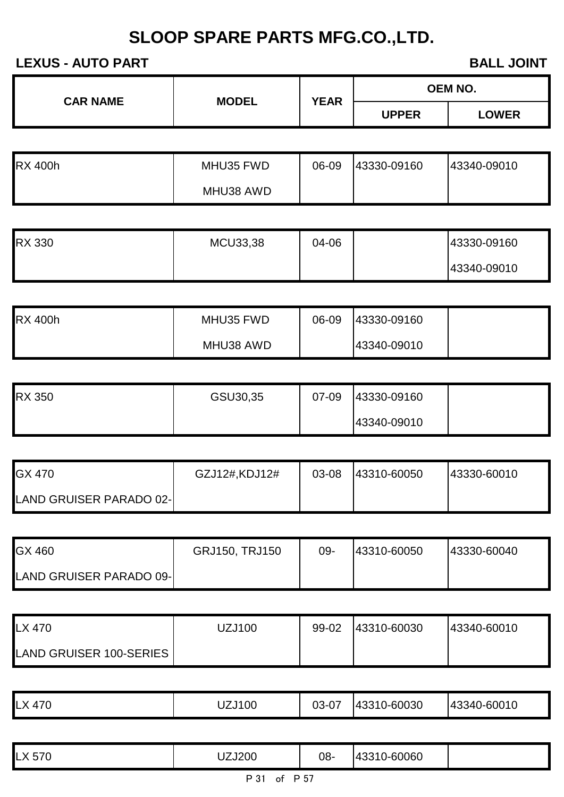**LEXUS - AUTO PART BALL JOINT** 

| <b>CAR NAME</b> | <b>MODEL</b> | <b>YEAR</b> |              | <b>OEM NO.</b> |
|-----------------|--------------|-------------|--------------|----------------|
|                 |              |             | <b>UPPER</b> | <b>LOWER</b>   |

| <b>RX 400h</b> | MHU35 FWD | 06-09 | 43330-09160 | 43340-09010 |
|----------------|-----------|-------|-------------|-------------|
|                | MHU38 AWD |       |             |             |

| <b>RX 330</b> | <b>MCU33,38</b> | 04-06 | 43330-09160 |
|---------------|-----------------|-------|-------------|
|               |                 |       | 43340-09010 |

| <b>RX 400h</b> | MHU35 FWD | 06-09 | 43330-09160 |  |
|----------------|-----------|-------|-------------|--|
|                | MHU38 AWD |       | 43340-09010 |  |

| <b>RX 350</b> | GSU30,35 | 07-09 | 43330-09160 |  |
|---------------|----------|-------|-------------|--|
|               |          |       | 43340-09010 |  |

| GX 470                          | GZJ12#,KDJ12# | 03-08 | 43310-60050 | 43330-60010 |
|---------------------------------|---------------|-------|-------------|-------------|
| <b>LAND GRUISER PARADO 02-1</b> |               |       |             |             |

| GX 460                   | GRJ150, TRJ150 | 09- | 43310-60050 | 43330-60040 |
|--------------------------|----------------|-----|-------------|-------------|
| LAND GRUISER PARADO 09-l |                |     |             |             |

| LX 470                         | JZJ100 | 99-02 | 43310-60030 | 43340-60010 |
|--------------------------------|--------|-------|-------------|-------------|
| <b>LAND GRUISER 100-SERIES</b> |        |       |             |             |

|  | l V<br>470<br>◡ | UZJ100 | 03-07 | 43310-60030 | 43340-60010 |
|--|-----------------|--------|-------|-------------|-------------|
|--|-----------------|--------|-------|-------------|-------------|

| $- - -$<br>.570<br>┖∧ | ZJ200 | 08- | 60060<br>$\overline{\phantom{a}}$<br>. U-<br>vv. |  |
|-----------------------|-------|-----|--------------------------------------------------|--|
|                       |       |     |                                                  |  |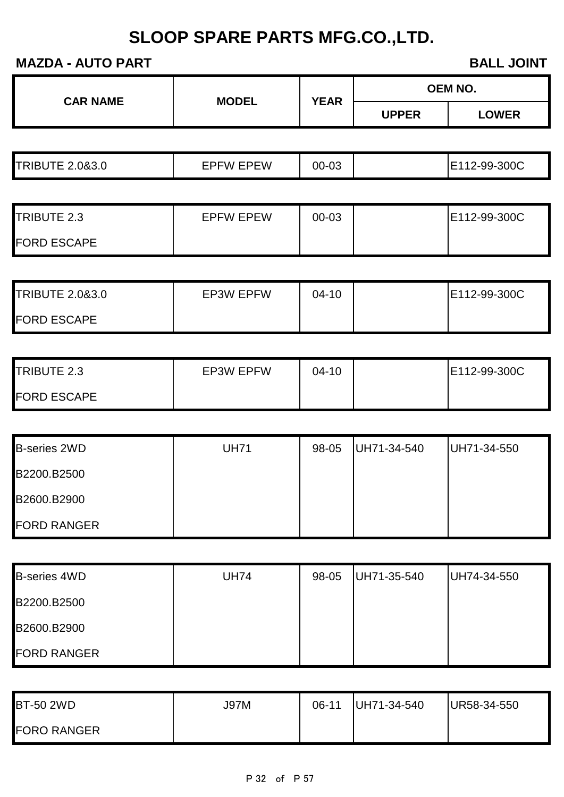#### **MAZDA - AUTO PART BALL JOINT**

| <b>MALUA - AUTU FANT</b>   |                  |             | <b>DALL JUINT</b> |                |  |
|----------------------------|------------------|-------------|-------------------|----------------|--|
| <b>CAR NAME</b>            |                  | <b>YEAR</b> |                   | <b>OEM NO.</b> |  |
|                            | <b>MODEL</b>     |             | <b>UPPER</b>      | <b>LOWER</b>   |  |
|                            |                  |             |                   |                |  |
| <b>TRIBUTE 2.0&amp;3.0</b> | <b>EPFW EPEW</b> | 00-03       |                   | E112-99-300C   |  |
|                            |                  |             |                   |                |  |
| TRIBUTE 2.3                | <b>EPFW EPEW</b> | 00-03       |                   | E112-99-300C   |  |
| <b>FORD ESCAPE</b>         |                  |             |                   |                |  |
|                            |                  |             |                   |                |  |
| <b>TRIBUTE 2.0&amp;3.0</b> | <b>EP3W EPFW</b> | $04 - 10$   |                   | E112-99-300C   |  |
| <b>FORD ESCAPE</b>         |                  |             |                   |                |  |
| TRIBUTE 2.3                | <b>EP3W EPFW</b> | $04 - 10$   |                   | E112-99-300C   |  |
| <b>FORD ESCAPE</b>         |                  |             |                   |                |  |
|                            |                  |             |                   |                |  |
| <b>B-series 2WD</b>        | <b>UH71</b>      | 98-05       | UH71-34-540       | UH71-34-550    |  |
| B2200.B2500                |                  |             |                   |                |  |
| B2600.B2900                |                  |             |                   |                |  |
| <b>FORD RANGER</b>         |                  |             |                   |                |  |
|                            |                  |             |                   |                |  |
| <b>B-series 4WD</b>        | <b>UH74</b>      | 98-05       | UH71-35-540       | UH74-34-550    |  |
| B2200.B2500                |                  |             |                   |                |  |
| B2600.B2900                |                  |             |                   |                |  |
| <b>FORD RANGER</b>         |                  |             |                   |                |  |
|                            |                  |             |                   |                |  |
| <b>BT-50 2WD</b>           | <b>J97M</b>      | $06-11$     | UH71-34-540       | UR58-34-550    |  |
| <b>FORO RANGER</b>         |                  |             |                   |                |  |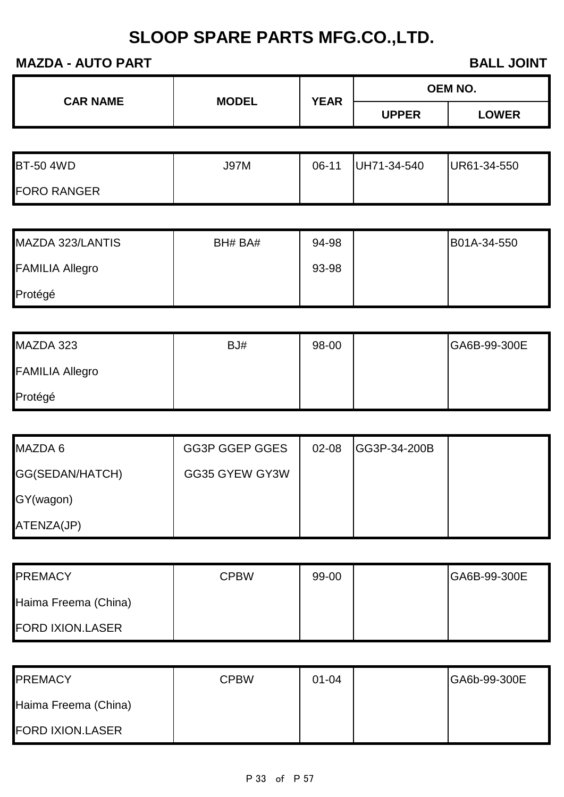### **MAZDA - AUTO PART BALL JOINT**

| <b>CAR NAME</b> | <b>MODEL</b> | <b>YEAR</b> |              | <b>OEM NO.</b> |
|-----------------|--------------|-------------|--------------|----------------|
|                 |              |             | <b>UPPER</b> | <b>LOWER</b>   |

| <b>BT-50 4WD</b>   | J97M | 06-11 | UH71-34-540 | UR61-34-550 |
|--------------------|------|-------|-------------|-------------|
| <b>FORO RANGER</b> |      |       |             |             |

| MAZDA 323/LANTIS       | BH# BA# | 94-98 | B01A-34-550 |
|------------------------|---------|-------|-------------|
| <b>FAMILIA Allegro</b> |         | 93-98 |             |
| Protégé                |         |       |             |

| MAZDA 323              | BJ# | 98-00 | GA6B-99-300E |
|------------------------|-----|-------|--------------|
| <b>FAMILIA Allegro</b> |     |       |              |
| Protégé                |     |       |              |

| MAZDA 6         | GG3P GGEP GGES | $02 - 08$ | <b>IGG3P-34-200B</b> |  |
|-----------------|----------------|-----------|----------------------|--|
| GG(SEDAN/HATCH) | GG35 GYEW GY3W |           |                      |  |
| GY(wagon)       |                |           |                      |  |
| ATENZA(JP)      |                |           |                      |  |

| <b>PREMACY</b>          | <b>CPBW</b> | 99-00 | GA6B-99-300E |
|-------------------------|-------------|-------|--------------|
| Haima Freema (China)    |             |       |              |
| <b>FORD IXION.LASER</b> |             |       |              |

| <b>PREMACY</b>          | <b>CPBW</b> | $01 - 04$ | GA6b-99-300E |
|-------------------------|-------------|-----------|--------------|
| Haima Freema (China)    |             |           |              |
| <b>FORD IXION.LASER</b> |             |           |              |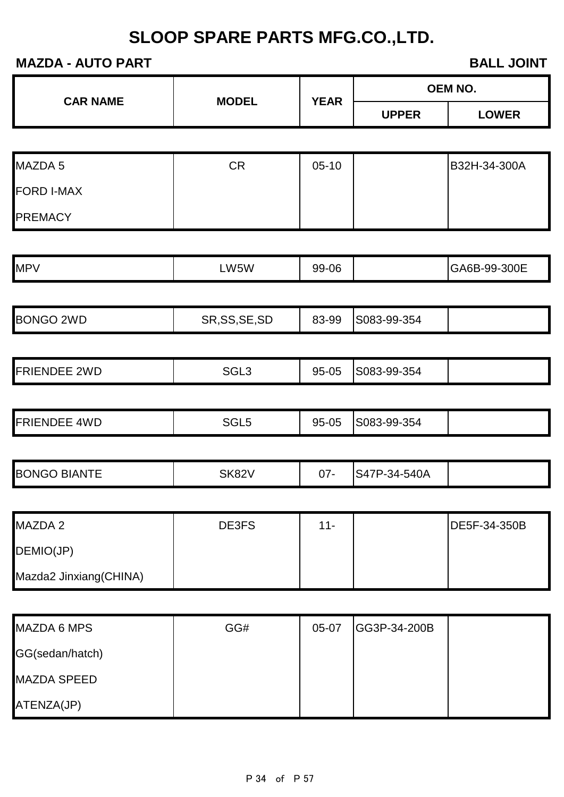| <b>MAZDA - AUTO PART</b> |                  | <b>BALL JOINT</b> |              |                |
|--------------------------|------------------|-------------------|--------------|----------------|
| <b>CAR NAME</b>          | <b>MODEL</b>     | <b>YEAR</b>       |              | <b>OEM NO.</b> |
|                          |                  |                   | <b>UPPER</b> | <b>LOWER</b>   |
|                          |                  |                   |              |                |
| MAZDA 5                  | <b>CR</b>        | $05-10$           |              | B32H-34-300A   |
| <b>FORD I-MAX</b>        |                  |                   |              |                |
| <b>PREMACY</b>           |                  |                   |              |                |
|                          |                  |                   |              |                |
| <b>MPV</b>               | LW5W             | 99-06             |              | GA6B-99-300E   |
| <b>BONGO 2WD</b>         | SR, SS, SE, SD   | 83-99             | S083-99-354  |                |
| <b>FRIENDEE 2WD</b>      | SGL <sub>3</sub> | 95-05             | S083-99-354  |                |
|                          |                  |                   |              |                |
| <b>FRIENDEE 4WD</b>      | SGL <sub>5</sub> | 95-05             | S083-99-354  |                |
| <b>BONGO BIANTE</b>      | <b>SK82V</b>     | $07 -$            | S47P-34-540A |                |
| MAZDA 2                  | DE3FS            | $11 -$            |              | DE5F-34-350B   |
| DEMIO(JP)                |                  |                   |              |                |
| Mazda2 Jinxiang(CHINA)   |                  |                   |              |                |
| <b>MAZDA 6 MPS</b>       | GG#              | 05-07             | GG3P-34-200B |                |
| GG(sedan/hatch)          |                  |                   |              |                |

MAZDA SPEED

ATENZA(JP)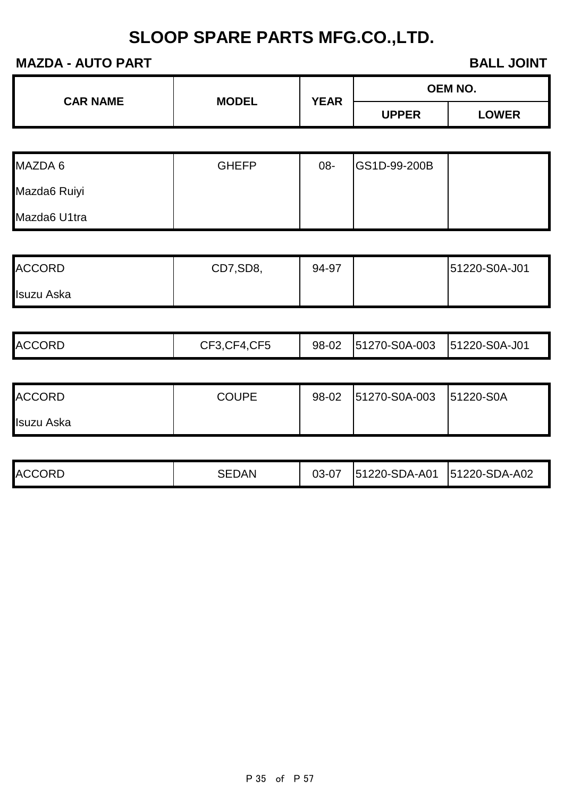#### **MAZDA - AUTO PART BALL JOINT**

| <b>CAR NAME</b> | <b>MODEL</b> | <b>YEAR</b> | <b>OEM NO.</b> |              |
|-----------------|--------------|-------------|----------------|--------------|
|                 |              |             | <b>UPPER</b>   | <b>LOWER</b> |

| MAZDA 6      | <b>GHEFP</b> | 08- | GS1D-99-200B |  |
|--------------|--------------|-----|--------------|--|
| Mazda6 Ruiyi |              |     |              |  |
| Mazda6 U1tra |              |     |              |  |

| <b>ACCORD</b> | CD7,SD8, | 94-97 | 51220-S0A-J01 |
|---------------|----------|-------|---------------|
| Isuzu Aska    |          |       |               |

| <b>ACCORD</b> | <b>COUPE</b> | 98-02 51270-S0A-003 | 51220-S0A |
|---------------|--------------|---------------------|-----------|
| Isuzu Aska    |              |                     |           |

| <b>ACCORD</b> | SEDAN | 03-07 | 51220-SDA-A01 | 51220-SDA-A02 |  |
|---------------|-------|-------|---------------|---------------|--|
|---------------|-------|-------|---------------|---------------|--|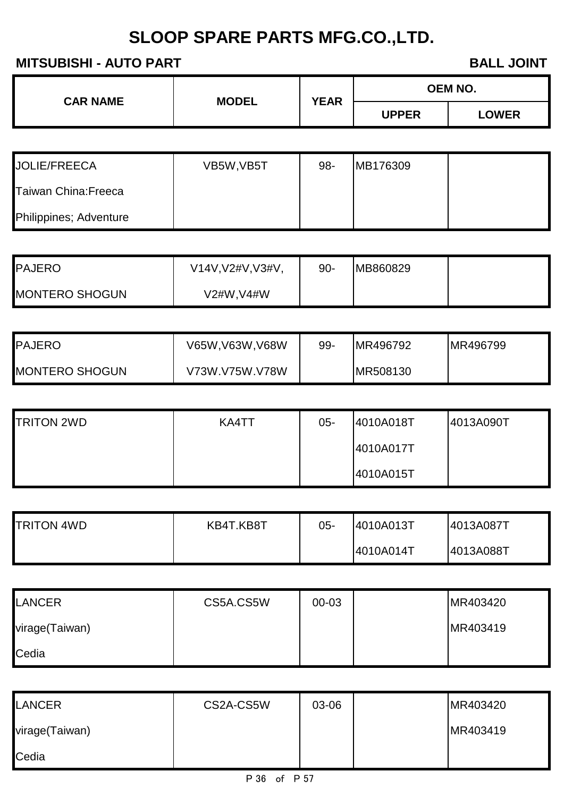### **MITSUBISHI - AUTO PART BALL JOINT**

| <b>CAR NAME</b> | <b>MODEL</b> | <b>YEAR</b> |              | <b>OEM NO.</b> |  |
|-----------------|--------------|-------------|--------------|----------------|--|
|                 |              |             | <b>UPPER</b> | <b>LOWER</b>   |  |

| <b>JOLIE/FREECA</b>    | VB5W, VB5T | 98- | MB176309 |  |
|------------------------|------------|-----|----------|--|
| Taiwan China: Freeca   |            |     |          |  |
| Philippines; Adventure |            |     |          |  |

| <b>PAJERO</b>         | V14V, V2#V, V3#V, | 90- | MB860829 |  |
|-----------------------|-------------------|-----|----------|--|
| <b>MONTERO SHOGUN</b> | V2#W,V4#W         |     |          |  |

| <b>PAJERO</b>         | V65W,V63W,V68W | 99- | MR496792 | MR496799 |
|-----------------------|----------------|-----|----------|----------|
| <b>MONTERO SHOGUN</b> | V73W.V75W.V78W |     | MR508130 |          |

| <b>TRITON 2WD</b> | KA4TT | $05 -$ | 4010A018T | 4013A090T |
|-------------------|-------|--------|-----------|-----------|
|                   |       |        | 4010A017T |           |
|                   |       |        | 4010A015T |           |

| <b>TRITON 4WD</b> | KB4T.KB8T | 05- | 4010A013T | 4013A087T |
|-------------------|-----------|-----|-----------|-----------|
|                   |           |     | 4010A014T | 4013A088T |

| <b>LANCER</b>  | CS5A.CS5W | 00-03 | MR403420 |
|----------------|-----------|-------|----------|
| virage(Taiwan) |           |       | MR403419 |
| Cedia          |           |       |          |

| <b>LANCER</b>  | CS2A-CS5W | 03-06 | MR403420 |
|----------------|-----------|-------|----------|
| virage(Taiwan) |           |       | MR403419 |
| Cedia          |           |       |          |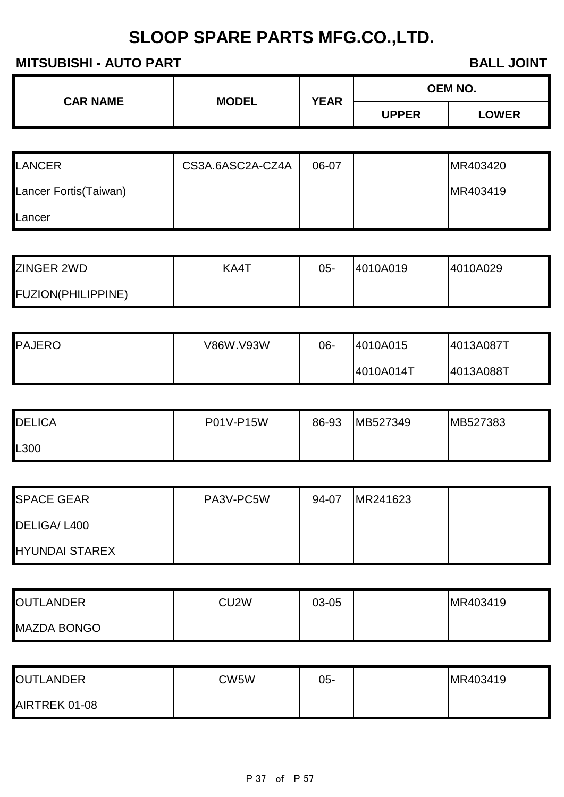#### **MITSUBISHI - AUTO PART BALL JOINT**

| BALL JOI |  |
|----------|--|
|          |  |

| <b>CAR NAME</b> | <b>MODEL</b> | <b>YEAR</b> |              | <b>OEM NO.</b> |
|-----------------|--------------|-------------|--------------|----------------|
|                 |              |             | <b>UPPER</b> | <b>LOWER</b>   |

| <b>LANCER</b>          | CS3A.6ASC2A-CZ4A | 06-07 | MR403420 |
|------------------------|------------------|-------|----------|
| Lancer Fortis (Taiwan) |                  |       | MR403419 |
| ILancer                |                  |       |          |

| <b>ZINGER 2WD</b>         | KA4T | 05- | 4010A019 | 4010A029 |
|---------------------------|------|-----|----------|----------|
| <b>FUZION(PHILIPPINE)</b> |      |     |          |          |

| <b>PAJERO</b> | V86W.V93W | 06- | 4010A015  | 4013A087T |
|---------------|-----------|-----|-----------|-----------|
|               |           |     | 4010A014T | 4013A088T |

| <b>DELICA</b>    | P01V-P15W | 86-93 | MB527349 | MB527383 |
|------------------|-----------|-------|----------|----------|
| L <sub>300</sub> |           |       |          |          |

| <b>SPACE GEAR</b>     | PA3V-PC5W | 94-07 | MR241623 |  |
|-----------------------|-----------|-------|----------|--|
| DELIGA/L400           |           |       |          |  |
| <b>HYUNDAI STAREX</b> |           |       |          |  |

| <b>OUTLANDER</b>   | CU <sub>2</sub> W | 03-05 | MR403419 |
|--------------------|-------------------|-------|----------|
| <b>MAZDA BONGO</b> |                   |       |          |

| <b>OUTLANDER</b> | CW5W | 05- | MR403419 |
|------------------|------|-----|----------|
| AIRTREK 01-08    |      |     |          |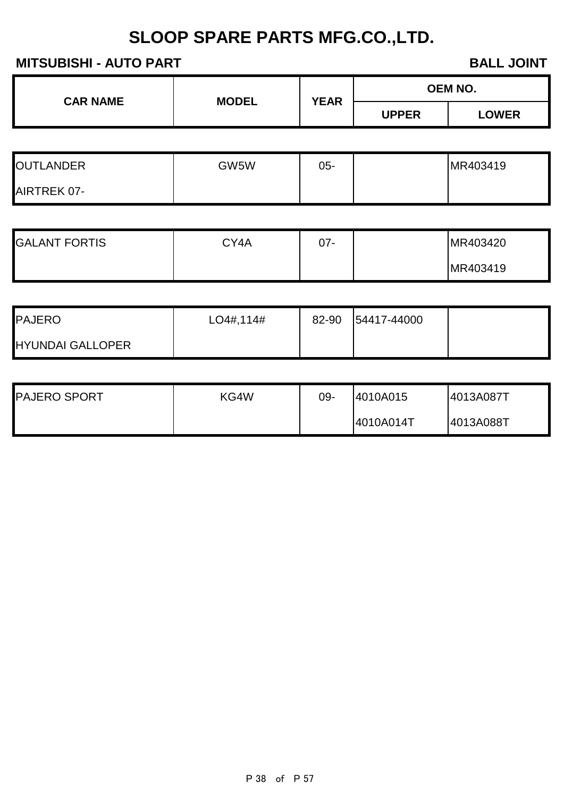### **MITSUBISHI - AUTO PART BALL JOINT**

| <b>CAR NAME</b> | <b>MODEL</b> | <b>YEAR</b> | OEM NO.      |              |
|-----------------|--------------|-------------|--------------|--------------|
|                 |              |             | <b>UPPER</b> | <b>LOWER</b> |

| <b>OUTLANDER</b> | GW5W | 05- | MR403419 |
|------------------|------|-----|----------|
| AIRTREK 07-      |      |     |          |

| <b>GALANT FORTIS</b> | CY4A | ^7<br>J 1 - | MR403420 |
|----------------------|------|-------------|----------|
|                      |      |             | MR403419 |

| <b>PAJERO</b>           | LO4#, 114# | 82-90 | 54417-44000 |  |
|-------------------------|------------|-------|-------------|--|
| <b>HYUNDAI GALLOPER</b> |            |       |             |  |

| <b>PAJERO SPORT</b> | KG4W | 09- | 4010A015  | 14013A087T |
|---------------------|------|-----|-----------|------------|
|                     |      |     | 4010A014T | 4013A088T  |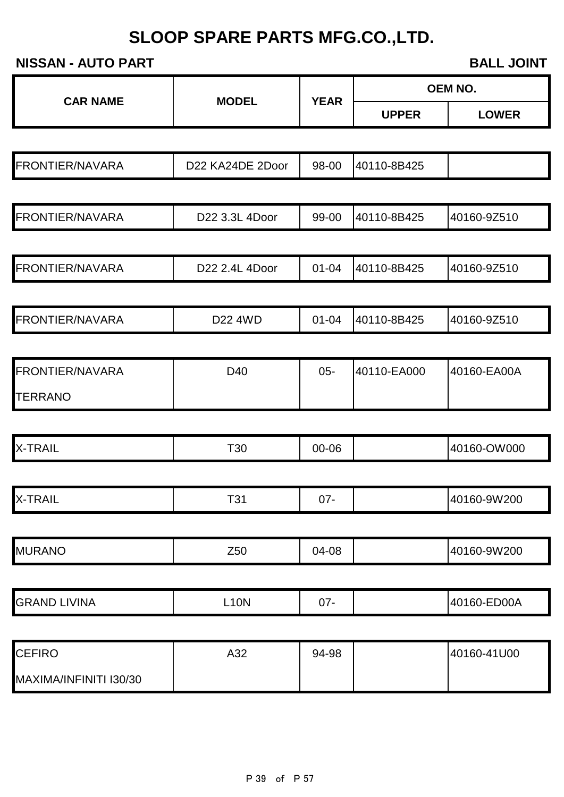**NISSAN - AUTO PART BALL JOINT** 

|                        |                  |             |              | <b>OEM NO.</b> |
|------------------------|------------------|-------------|--------------|----------------|
| <b>CAR NAME</b>        | <b>MODEL</b>     | <b>YEAR</b> | <b>UPPER</b> | <b>LOWER</b>   |
|                        |                  |             |              |                |
| <b>FRONTIER/NAVARA</b> | D22 KA24DE 2Door | 98-00       | 40110-8B425  |                |
|                        |                  |             |              |                |
| <b>FRONTIER/NAVARA</b> | D22 3.3L 4Door   | 99-00       | 40110-8B425  | 40160-9Z510    |
|                        |                  |             |              |                |
| <b>FRONTIER/NAVARA</b> | D22 2.4L 4Door   | $01 - 04$   | 40110-8B425  | 40160-9Z510    |
|                        |                  |             |              |                |
| <b>FRONTIER/NAVARA</b> | D22 4WD          | $01 - 04$   | 40110-8B425  | 40160-9Z510    |
|                        |                  |             |              |                |
| <b>FRONTIER/NAVARA</b> | D40              | $05 -$      | 40110-EA000  | 40160-EA00A    |
| <b>TERRANO</b>         |                  |             |              |                |
|                        |                  |             |              |                |
| <b>X-TRAIL</b>         | T30              | 00-06       |              | 40160-OW000    |
|                        |                  |             |              |                |
| <b>X-TRAIL</b>         | T31              | $07 -$      |              | 40160-9W200    |
|                        |                  |             |              |                |
| <b>MURANO</b>          | Z <sub>50</sub>  | 04-08       |              | 40160-9W200    |
|                        |                  |             |              |                |
| <b>GRAND LIVINA</b>    | <b>L10N</b>      | $07 -$      |              | 40160-ED00A    |
|                        |                  |             |              |                |
| <b>CEFIRO</b>          | A32              | 94-98       |              | 40160-41U00    |
| MAXIMA/INFINITI I30/30 |                  |             |              |                |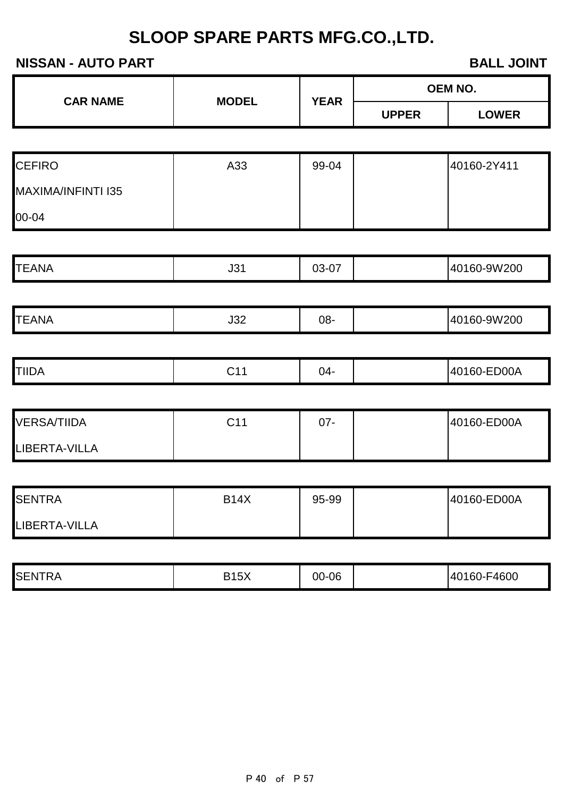#### **NISSAN - AUTO PART BALL JOINT**

|                    |              |             | <u>ыльн vviiti</u> |              |  |
|--------------------|--------------|-------------|--------------------|--------------|--|
| <b>CAR NAME</b>    | <b>MODEL</b> | <b>YEAR</b> |                    | OEM NO.      |  |
|                    |              |             | <b>UPPER</b>       | <b>LOWER</b> |  |
|                    |              |             |                    |              |  |
| <b>CEFIRO</b>      | A33          | 99-04       |                    | 40160-2Y411  |  |
| MAXIMA/INFINTI I35 |              |             |                    |              |  |
| 00-04              |              |             |                    |              |  |
|                    |              |             |                    |              |  |
| <b>TEANA</b>       | J31          | 03-07       |                    | 40160-9W200  |  |
|                    |              |             |                    |              |  |
| <b>TEANA</b>       | J32          | 08-         |                    | 40160-9W200  |  |
|                    |              |             |                    |              |  |
| <b>TIIDA</b>       | C11          | $04-$       |                    | 40160-ED00A  |  |
|                    |              |             |                    |              |  |
| <b>VERSA/TIIDA</b> | C11          | $07 -$      |                    | 40160-ED00A  |  |
| LIBERTA-VILLA      |              |             |                    |              |  |
|                    |              |             |                    |              |  |
| <b>SENTRA</b>      | <b>B14X</b>  | 95-99       |                    | 40160-ED00A  |  |
| LIBERTA-VILLA      |              |             |                    |              |  |
|                    |              |             |                    |              |  |

| <b>SENTRA</b> | B15X | 00-06 |  | 40160-F4600 |
|---------------|------|-------|--|-------------|
|---------------|------|-------|--|-------------|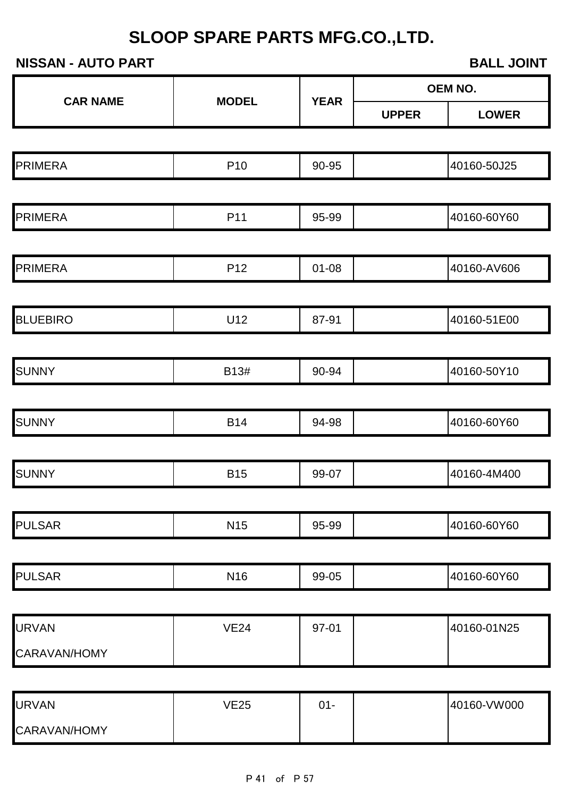**NISSAN - AUTO PART BALL JOINT UPPER LOWER** PRIMERA P10 90-95 40160-50J25 PRIMERA P11 95-99 40160-60Y60 PRIMERA P12 01-08 40160-AV606 BLUEBIRO U12 87-91 40160-51E00 SUNNY B13# 90-94 40160-50Y10 SUNNY B14 94-98 40160-60Y60 SUNNY | B15 | 99-07 | 40160-4M400 PULSAR N15 95-99 40160-60Y60 PULSAR N16 99-05 40160-60Y60 URVAN VE24 97-01 40160-01N25 CARAVAN/HOMY **CAR NAME MODEL YEAR OEM NO.**

| <b>URVAN</b> | VE25 | $\sim$<br>JI- | 40160-VW000 |
|--------------|------|---------------|-------------|
| CARAVAN/HOMY |      |               |             |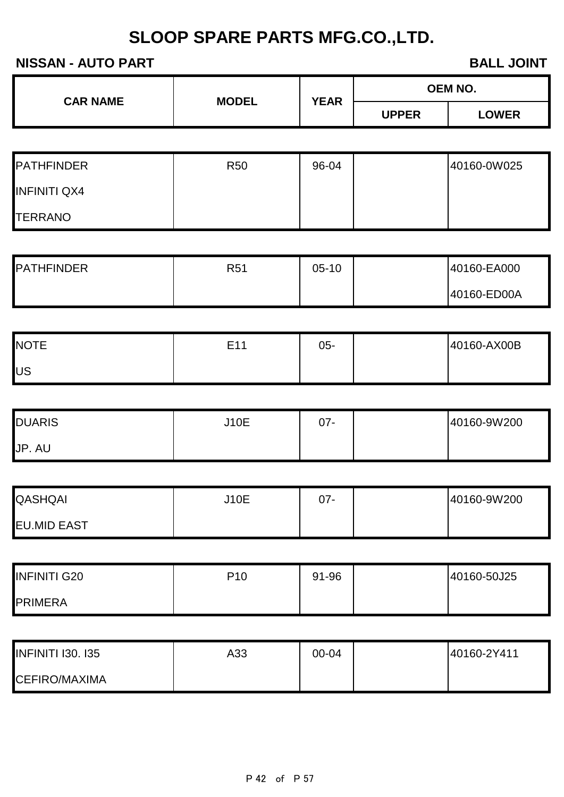### **NISSAN - AUTO PART BALL JOINT**

| <b>CAR NAME</b><br><b>MODEL</b> | <b>YEAR</b> | <b>OEM NO.</b> |              |              |
|---------------------------------|-------------|----------------|--------------|--------------|
|                                 |             |                | <b>UPPER</b> | <b>LOWER</b> |

| <b>PATHFINDER</b>   | <b>R50</b> | 96-04 | 40160-0W025 |
|---------------------|------------|-------|-------------|
| <b>INFINITI QX4</b> |            |       |             |
| <b>TERRANO</b>      |            |       |             |

| <b>PATHFINDER</b> | R51 | $05-10$ | 40160-EA000 |
|-------------------|-----|---------|-------------|
|                   |     |         | 40160-ED00A |

| <b>NOTE</b> | E11<br>ᄂ | $05 -$ | 40160-AX00B |
|-------------|----------|--------|-------------|
| lUS         |          |        |             |

| <b>DUARIS</b> | <b>J10E</b> | ^7<br>J I - | 40160-9W200 |
|---------------|-------------|-------------|-------------|
| JP. AU        |             |             |             |

| QASHQAI            | <b>J10E</b> | 07- | 40160-9W200 |
|--------------------|-------------|-----|-------------|
| <b>EU.MID EAST</b> |             |     |             |

| <b>INFINITI G20</b> | P <sub>10</sub> | 91-96 | 40160-50J25 |
|---------------------|-----------------|-------|-------------|
| <b>PRIMERA</b>      |                 |       |             |

| <b>INFINITI I30. I35</b> | A33 | 00-04 | 40160-2Y411 |
|--------------------------|-----|-------|-------------|
| <b>CEFIRO/MAXIMA</b>     |     |       |             |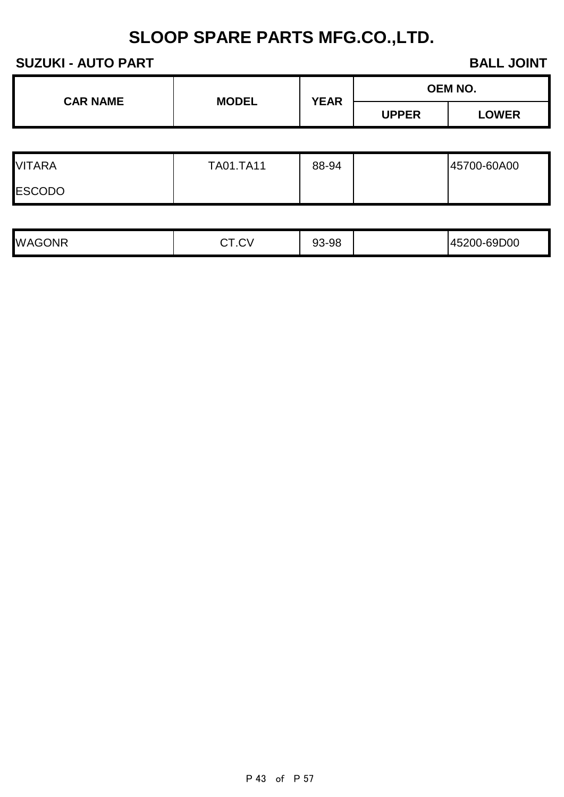| <b>CAR NAME</b> | <b>MODEL</b> | <b>YEAR</b> | OEM NO.      |              |
|-----------------|--------------|-------------|--------------|--------------|
|                 |              |             | <b>UPPER</b> | <b>LOWER</b> |
|                 |              |             |              |              |

| <b>VITARA</b> | <b>TA01.TA11</b> | 88-94 | 45700-60A00 |
|---------------|------------------|-------|-------------|
| <b>ESCODO</b> |                  |       |             |

| <b>WAGONR</b> | $\sim$ $\sim$ $\sim$<br>1.VV | 93-98 |  | 45200-69D00 |
|---------------|------------------------------|-------|--|-------------|
|---------------|------------------------------|-------|--|-------------|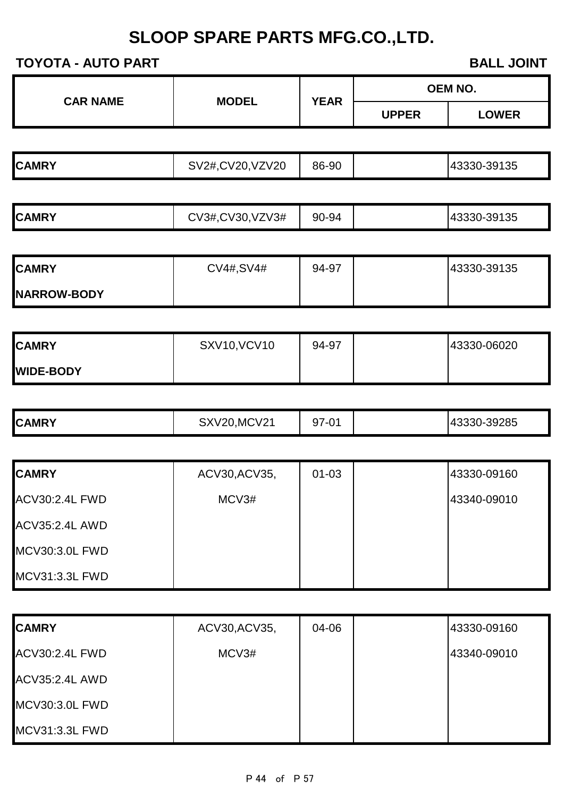**TOYOTA - AUTO PART BALL JOINT** 

| <b>OEM NO.</b> |  |  |
|----------------|--|--|
|                |  |  |

**UPPER LOWER**

| ZV20<br>-39135<br>86-90<br><b>CAMRY</b><br>20<br>√2#,C\′<br>$V_{\ell}$<br>143330- <sup>-</sup> |  |  |  |
|------------------------------------------------------------------------------------------------|--|--|--|
|                                                                                                |  |  |  |

**CAR NAME MODEL YEAR**

| <b>CAMRY</b> | CV3#,CV30,VZV3# | 90-94 |  | 43330-39135 |
|--------------|-----------------|-------|--|-------------|
|--------------|-----------------|-------|--|-------------|

| <b>CAMRY</b>        | CV4#, SV4# | 94-97 | 43330-39135 |
|---------------------|------------|-------|-------------|
| <b>INARROW-BODY</b> |            |       |             |

| <b>CAMRY</b>     | <b>SXV10, VCV10</b> | 94-97 | 43330-06020 |
|------------------|---------------------|-------|-------------|
| <b>WIDE-BODY</b> |                     |       |             |

| <b>CAMRY</b> | ,MCV21<br>CV <sub>1</sub><br>$\sqrt{2}$<br>∵∧ر | $\Omega$<br>$\bigcap$<br>.<br>ອ ເ<br>ັ | -39285<br>$\overline{\phantom{a}}$<br>143330-7 |
|--------------|------------------------------------------------|----------------------------------------|------------------------------------------------|
|              |                                                |                                        |                                                |

| <b>CAMRY</b>          | ACV30, ACV35, | $01 - 03$ | 43330-09160 |
|-----------------------|---------------|-----------|-------------|
| <b>ACV30:2.4L FWD</b> | MCV3#         |           | 43340-09010 |
| <b>ACV35:2.4L AWD</b> |               |           |             |
| MCV30:3.0L FWD        |               |           |             |
| <b>MCV31:3.3L FWD</b> |               |           |             |

| <b>CAMRY</b>          | ACV30, ACV35, | 04-06 | 43330-09160 |
|-----------------------|---------------|-------|-------------|
| <b>ACV30:2.4L FWD</b> | MCV3#         |       | 43340-09010 |
| <b>ACV35:2.4L AWD</b> |               |       |             |
| <b>MCV30:3.0L FWD</b> |               |       |             |
| <b>MCV31:3.3L FWD</b> |               |       |             |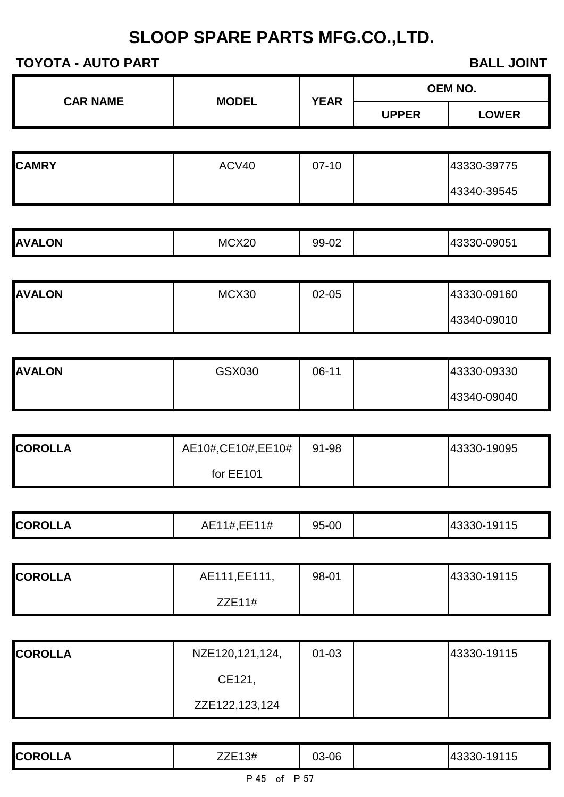|                 |                     |             |              | <b>OEM NO.</b> |
|-----------------|---------------------|-------------|--------------|----------------|
| <b>CAR NAME</b> | <b>MODEL</b>        | <b>YEAR</b> | <b>UPPER</b> | <b>LOWER</b>   |
|                 |                     |             |              |                |
| <b>CAMRY</b>    | ACV40               | $07-10$     |              | 43330-39775    |
|                 |                     |             |              | 43340-39545    |
|                 |                     |             |              |                |
| <b>AVALON</b>   | MCX20               | 99-02       |              | 43330-09051    |
|                 |                     |             |              |                |
| <b>AVALON</b>   | MCX30               | $02 - 05$   |              | 43330-09160    |
|                 |                     |             |              | 43340-09010    |
|                 |                     |             |              |                |
| <b>AVALON</b>   | GSX030              | $06-11$     |              | 43330-09330    |
|                 |                     |             |              | 43340-09040    |
|                 |                     |             |              |                |
| <b>COROLLA</b>  | AE10#, CE10#, EE10# | 91-98       |              | 43330-19095    |
|                 | for EE101           |             |              |                |
|                 |                     |             |              |                |
| <b>COROLLA</b>  | AE11#, EE11#        | 95-00       |              | 43330-19115    |
|                 |                     |             |              |                |
| <b>COROLLA</b>  | AE111, EE111,       | 98-01       |              | 43330-19115    |
|                 | ZZE11#              |             |              |                |
|                 |                     |             |              |                |
| <b>COROLLA</b>  | NZE120,121,124,     | $01 - 03$   |              | 43330-19115    |
|                 | CE121,              |             |              |                |
|                 | ZZE122,123,124      |             |              |                |
|                 |                     |             |              |                |
| <b>COROLLA</b>  | ZZE13#              | 03-06       |              | 43330-19115    |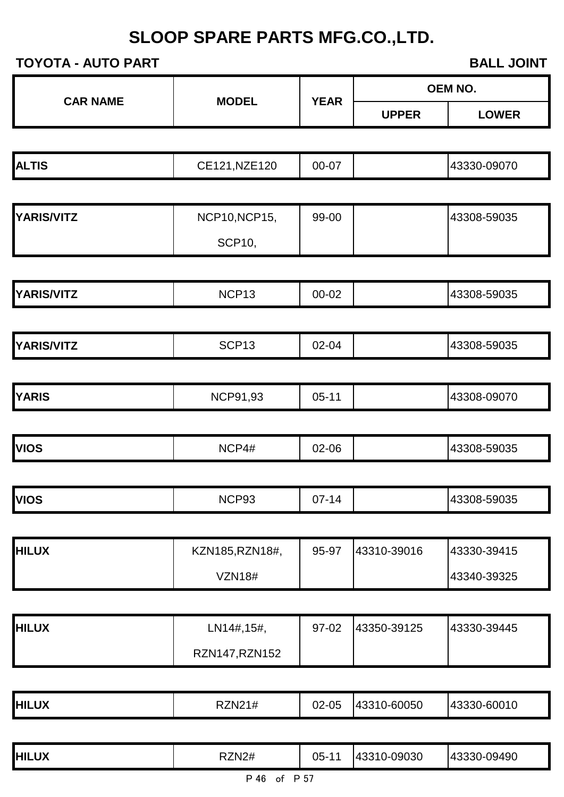| <u> וטוויים הוטויטו</u> |                      |             | <b>DALL JUIRE</b> |                |  |
|-------------------------|----------------------|-------------|-------------------|----------------|--|
| <b>CAR NAME</b>         | <b>MODEL</b>         | <b>YEAR</b> |                   | <b>OEM NO.</b> |  |
|                         |                      |             | <b>UPPER</b>      | <b>LOWER</b>   |  |
|                         |                      |             |                   |                |  |
| <b>ALTIS</b>            | CE121, NZE120        | 00-07       |                   | 43330-09070    |  |
|                         |                      |             |                   |                |  |
| <b>YARIS/VITZ</b>       | <b>NCP10, NCP15,</b> | 99-00       |                   | 43308-59035    |  |
|                         | <b>SCP10,</b>        |             |                   |                |  |
|                         |                      |             |                   |                |  |
| <b>YARIS/VITZ</b>       | NCP <sub>13</sub>    | 00-02       |                   | 43308-59035    |  |
|                         |                      |             |                   |                |  |
| <b>YARIS/VITZ</b>       | SCP <sub>13</sub>    | 02-04       |                   | 43308-59035    |  |
|                         |                      |             |                   |                |  |
| <b>YARIS</b>            | <b>NCP91,93</b>      | $05 - 11$   |                   | 43308-09070    |  |
|                         |                      |             |                   |                |  |
| <b>VIOS</b>             | NCP4#                | 02-06       |                   | 43308-59035    |  |
|                         |                      |             |                   |                |  |
| <b>VIOS</b>             | NCP93                | $07 - 14$   |                   | 43308-59035    |  |
|                         |                      |             |                   |                |  |
| <b>HILUX</b>            | KZN185, RZN18#,      | 95-97       | 43310-39016       | 43330-39415    |  |
|                         | <b>VZN18#</b>        |             |                   | 43340-39325    |  |
|                         |                      |             |                   |                |  |
| <b>HILUX</b>            | LN14#,15#,           | 97-02       | 43350-39125       | 43330-39445    |  |
|                         | RZN147, RZN152       |             |                   |                |  |
|                         |                      |             |                   |                |  |
| <b>HILUX</b>            | <b>RZN21#</b>        | 02-05       | 43310-60050       | 43330-60010    |  |
|                         |                      |             |                   |                |  |
| <b>HILUX</b>            | RZN2#                | $05 - 11$   | 43310-09030       | 43330-09490    |  |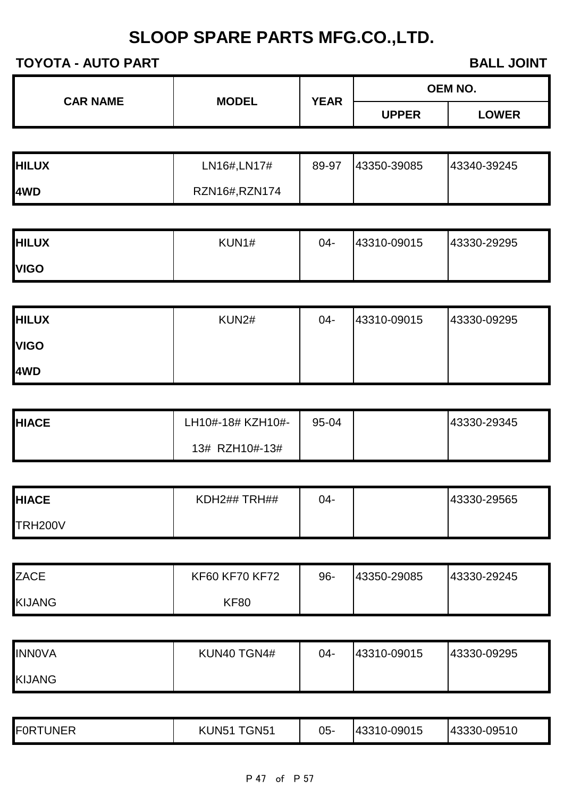| <b>CAR NAME</b> | <b>MODEL</b> | <b>YEAR</b> | <b>OEM NO.</b> |       |  |
|-----------------|--------------|-------------|----------------|-------|--|
|                 |              |             | <b>UPPER</b>   | LOWER |  |

| <b>HILUX</b> | LN16#,LN17#   | 89-97 | 43350-39085 | 43340-39245 |
|--------------|---------------|-------|-------------|-------------|
| <b>I4WD</b>  | RZN16#,RZN174 |       |             |             |

| <b>HILUX</b> | KUN1# | 04- | 43310-09015 | 43330-29295 |
|--------------|-------|-----|-------------|-------------|
| <b>VIGO</b>  |       |     |             |             |

| <b>HILUX</b> | KUN2# | $04 -$ | 43310-09015 | 43330-09295 |
|--------------|-------|--------|-------------|-------------|
| <b>VIGO</b>  |       |        |             |             |
| 4WD          |       |        |             |             |

| <b>HIACE</b> | LH10#-18# KZH10#- | 95-04 | 43330-29345 |
|--------------|-------------------|-------|-------------|
|              | 13# RZH10#-13#    |       |             |

| <b>HIACE</b>   | KDH2## TRH## | 04- | 43330-29565 |
|----------------|--------------|-----|-------------|
| <b>TRH200V</b> |              |     |             |

| <b>ZACE</b>   | <b>KF60 KF70 KF72</b> | 96- | 43350-29085 | 43330-29245 |
|---------------|-----------------------|-----|-------------|-------------|
| <b>KIJANG</b> | KF80                  |     |             |             |

| <b>INNOVA</b> | KUN40 TGN4# | 04- | 43310-09015 | 43330-09295 |
|---------------|-------------|-----|-------------|-------------|
| <b>KIJANG</b> |             |     |             |             |

| FORTUNER | $\mathsf{r}_\mathsf{GN51}$<br>KUN <sub>5</sub><br>- | 05- | 43310-09015 | 43330-09510 |
|----------|-----------------------------------------------------|-----|-------------|-------------|
|----------|-----------------------------------------------------|-----|-------------|-------------|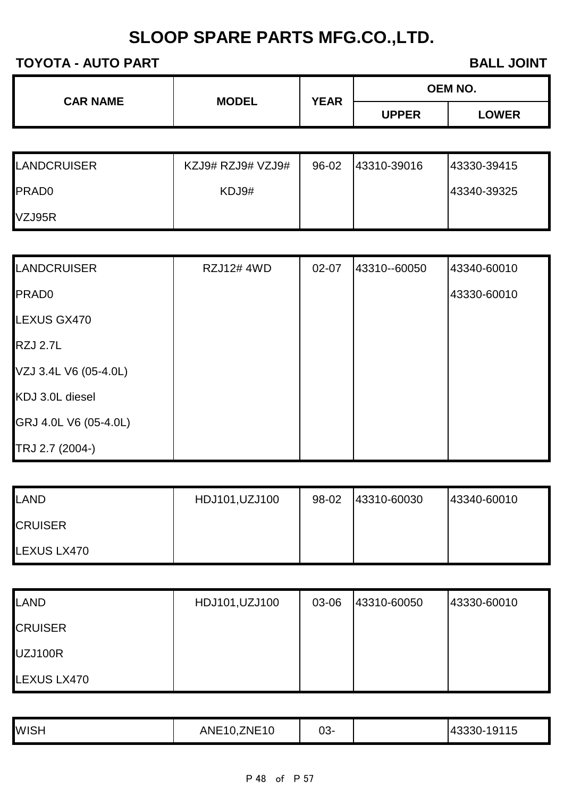| <b>CAR NAME</b> | <b>MODEL</b> | OEM NO.<br><b>YEAR</b> |              |
|-----------------|--------------|------------------------|--------------|
|                 |              |                        | <b>UPPER</b> |

| <b>LANDCRUISER</b> | KZJ9# RZJ9# VZJ9# | 96-02 | 43310-39016 | 43330-39415 |
|--------------------|-------------------|-------|-------------|-------------|
| <b>PRADO</b>       | KDJ9#             |       |             | 43340-39325 |
| VZJ95R             |                   |       |             |             |

| <b>LANDCRUISER</b>    | <b>RZJ12#4WD</b> | $02 - 07$ | 43310--60050 | 43340-60010 |
|-----------------------|------------------|-----------|--------------|-------------|
| <b>PRAD0</b>          |                  |           |              | 43330-60010 |
| LEXUS GX470           |                  |           |              |             |
| <b>RZJ 2.7L</b>       |                  |           |              |             |
| VZJ 3.4L V6 (05-4.0L) |                  |           |              |             |
| KDJ 3.0L diesel       |                  |           |              |             |
| GRJ 4.0L V6 (05-4.0L) |                  |           |              |             |
| TRJ 2.7 (2004-)       |                  |           |              |             |

| LAND           | HDJ101, UZJ100 | 98-02 | 43310-60030 | 43340-60010 |
|----------------|----------------|-------|-------------|-------------|
| <b>CRUISER</b> |                |       |             |             |
| LEXUS LX470    |                |       |             |             |

| LAND           | HDJ101, UZJ100 | 03-06 | 43310-60050 | 43330-60010 |
|----------------|----------------|-------|-------------|-------------|
| <b>CRUISER</b> |                |       |             |             |
| UZJ100R        |                |       |             |             |
| LEXUS LX470    |                |       |             |             |

| <b>WISH</b> | $\rightarrow \rightarrow \rightarrow \rightarrow$<br>ANE<br>16<br>ZN⊢.<br>. . | ^^<br><u> სა-</u> |  | 9115<br>$143330-2$ |
|-------------|-------------------------------------------------------------------------------|-------------------|--|--------------------|
|-------------|-------------------------------------------------------------------------------|-------------------|--|--------------------|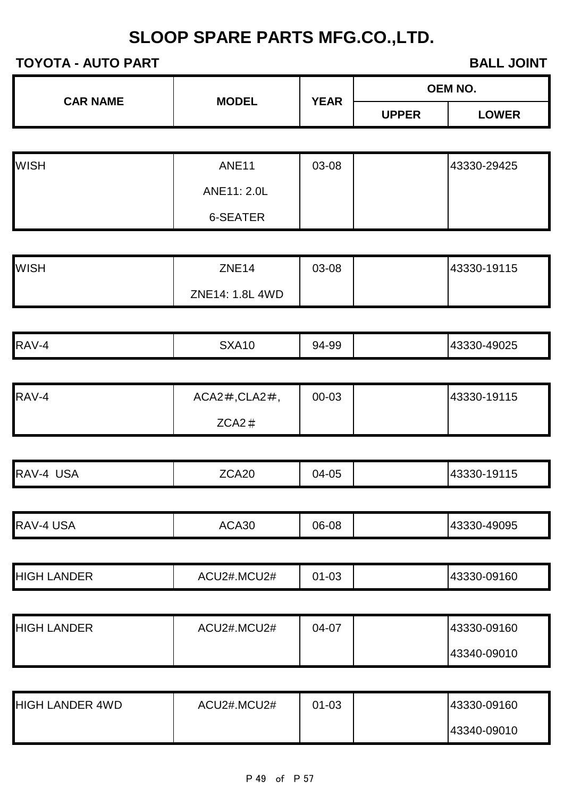| <b>CAR NAME</b> | <b>MODEL</b>                  | <b>YEAR</b>  |              | OEM NO.      |
|-----------------|-------------------------------|--------------|--------------|--------------|
|                 |                               | <b>UPPER</b> | <b>LOWER</b> |              |
|                 |                               |              |              |              |
| <b>MISH</b>     | $\triangle$ NIF <sub>11</sub> | <b>N3-U8</b> |              | 143330-29425 |

| <b>I</b> WISH | ANE <sub>11</sub> | 03-08 | 43330-29425 |
|---------------|-------------------|-------|-------------|
|               | ANE11: 2.0L       |       |             |
|               | 6-SEATER          |       |             |

| <b>WISH</b> | ZNE <sub>14</sub> | 03-08 | 43330-19115 |
|-------------|-------------------|-------|-------------|
|             | ZNE14: 1.8L 4WD   |       |             |

| RAV-4 | ATU<br>$\mathbf{u}$ | 94-99<br>$\mathbf{v}$ | -49025<br>$\overline{u}$<br>- 3331 - |
|-------|---------------------|-----------------------|--------------------------------------|
|       |                     |                       |                                      |

| RAV-4 | $ACA2\#$ , $CLA2\#$ , | 00-03 | 43330-19115 |
|-------|-----------------------|-------|-------------|
|       | $ZCA2 \#$             |       |             |

| RAV-4<br>$\sim$<br>JSA | <b>7CA20</b> | 04-05 | 9115<br>-ו ור |
|------------------------|--------------|-------|---------------|
|                        |              |       |               |

|  | RAV-4<br>JJA | $\Lambda$ or<br>่า⊢งบ<br>− | 06-08 |  | 49095<br>ıд |
|--|--------------|----------------------------|-------|--|-------------|
|--|--------------|----------------------------|-------|--|-------------|

|  | <b>ANDER</b><br>'HIGH | .MCU2#<br>AC<br>J2# | $\sim$<br>∩∤<br>∵-∪ພ |  | 43330-09160 |
|--|-----------------------|---------------------|----------------------|--|-------------|
|--|-----------------------|---------------------|----------------------|--|-------------|

| <b>HIGH LANDER</b> | ACU2#.MCU2# | 04-07 | 43330-09160 |
|--------------------|-------------|-------|-------------|
|                    |             |       | 43340-09010 |

| <b>HIGH LANDER 4WD</b> | ACU2#.MCU2# | $01 - 03$ | 43330-09160 |
|------------------------|-------------|-----------|-------------|
|                        |             |           | 43340-09010 |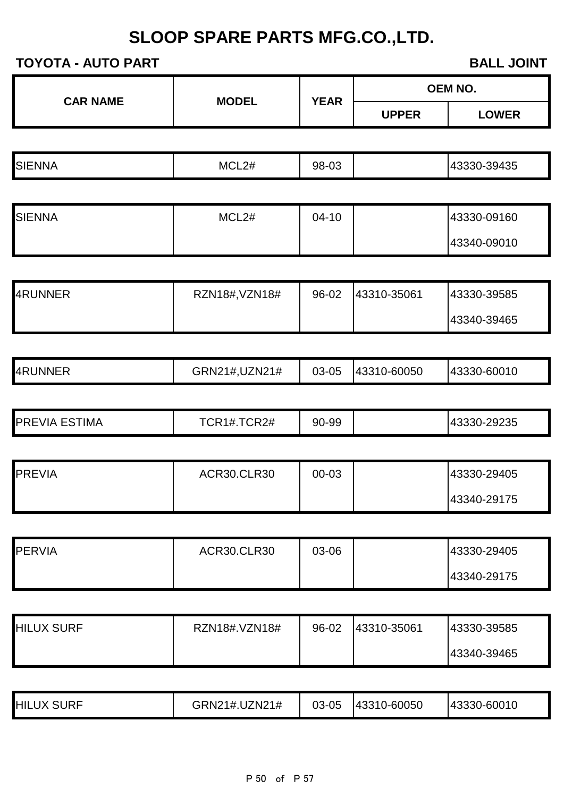| P 50 | ot of | P 57 |
|------|-------|------|
|      |       |      |

|                   |                    |             |              | <b>OEM NO.</b> |
|-------------------|--------------------|-------------|--------------|----------------|
| <b>CAR NAME</b>   | <b>MODEL</b>       | <b>YEAR</b> | <b>UPPER</b> | <b>LOWER</b>   |
|                   |                    |             |              |                |
| <b>SIENNA</b>     | MCL <sub>2#</sub>  | 98-03       |              | 43330-39435    |
|                   |                    |             |              |                |
| <b>SIENNA</b>     | MCL2#              | $04 - 10$   |              | 43330-09160    |
|                   |                    |             |              | 43340-09010    |
|                   |                    |             |              |                |
| 4RUNNER           | RZN18#, VZN18#     | 96-02       | 43310-35061  | 43330-39585    |
|                   |                    |             |              | 43340-39465    |
|                   |                    |             |              |                |
| 4RUNNER           | GRN21#, UZN21#     | 03-05       | 43310-60050  | 43330-60010    |
|                   |                    |             |              |                |
| PREVIA ESTIMA     | TCR1#.TCR2#        | 90-99       |              | 43330-29235    |
|                   |                    |             |              |                |
| <b>PREVIA</b>     | <b>ACR30.CLR30</b> | 00-03       |              | 43330-29405    |
|                   |                    |             |              | 43340-29175    |
|                   |                    |             |              |                |
| <b>PERVIA</b>     | ACR30.CLR30        | 03-06       |              | 43330-29405    |
|                   |                    |             |              | 43340-29175    |
|                   |                    |             |              |                |
| <b>HILUX SURF</b> | RZN18#.VZN18#      | 96-02       | 43310-35061  | 43330-39585    |
|                   |                    |             |              | 43340-39465    |
|                   |                    |             |              |                |
| <b>HILUX SURF</b> | GRN21#.UZN21#      | 03-05       | 43310-60050  | 43330-60010    |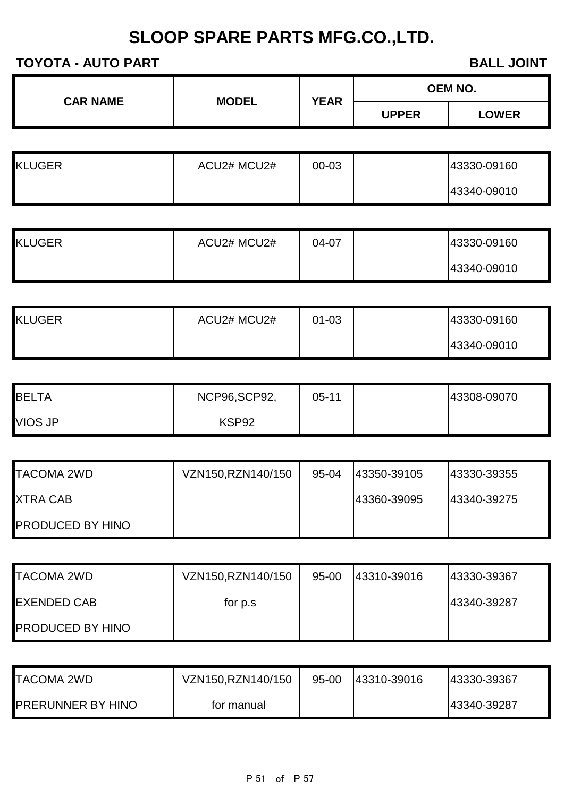| <b>CAR NAME</b> | <b>MODEL</b> | <b>YEAR</b> |              | <b>OEM NO.</b> |
|-----------------|--------------|-------------|--------------|----------------|
|                 |              |             | <b>UPPER</b> | <b>LOWER</b>   |

| <b>KLUGER</b> | ACU2# MCU2# | 00-03 | 43330-09160 |
|---------------|-------------|-------|-------------|
|               |             |       | 43340-09010 |

| <b>KLUGER</b> | ACU2# MCU2# | 04-07 | 43330-09160 |
|---------------|-------------|-------|-------------|
|               |             |       | 43340-09010 |

| <b>KLUGER</b> | ACU2# MCU2# | 01-03 | 43330-09160 |
|---------------|-------------|-------|-------------|
|               |             |       | 43340-09010 |

| <b>BELTA</b> | NCP96, SCP92, | $05 - 11$ | 43308-09070 |
|--------------|---------------|-----------|-------------|
| VIOS JP      | KSP92         |           |             |

| <b>TACOMA 2WD</b>       | VZN150,RZN140/150 | 95-04 | 43350-39105 | 43330-39355  |
|-------------------------|-------------------|-------|-------------|--------------|
| <b>XTRA CAB</b>         |                   |       | 43360-39095 | 143340-39275 |
| <b>PRODUCED BY HINO</b> |                   |       |             |              |

| <b>TACOMA 2WD</b>       | VZN150, RZN140/150 | 95-00 | 43310-39016 | 43330-39367 |
|-------------------------|--------------------|-------|-------------|-------------|
| <b>EXENDED CAB</b>      | for p.s.           |       |             | 43340-39287 |
| <b>PRODUCED BY HINO</b> |                    |       |             |             |

| <b>TACOMA 2WD</b>        | VZN150,RZN140/150 | $95 - 00$ | 43310-39016 | 43330-39367 |
|--------------------------|-------------------|-----------|-------------|-------------|
| <b>PRERUNNER BY HINO</b> | for manual        |           |             | 43340-39287 |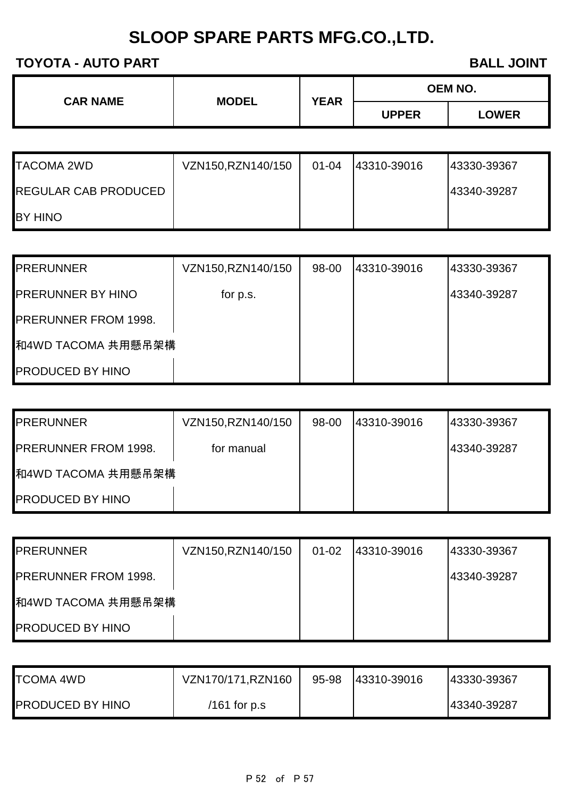| <b>CAR NAME</b> | <b>MODEL</b> | <b>YEAR</b> | OEM NO.      |              |  |
|-----------------|--------------|-------------|--------------|--------------|--|
|                 |              |             | <b>UPPER</b> | <b>LOWER</b> |  |

| <b>TACOMA 2WD</b>           | VZN150, RZN140/150 | $01 - 04$ | 43310-39016 | 43330-39367 |
|-----------------------------|--------------------|-----------|-------------|-------------|
| <b>REGULAR CAB PRODUCED</b> |                    |           |             | 43340-39287 |
| <b>BY HINO</b>              |                    |           |             |             |

| <b>PRERUNNER</b>            | VZN150, RZN140/150 | 98-00 | 43310-39016 | 43330-39367 |
|-----------------------------|--------------------|-------|-------------|-------------|
| <b>PRERUNNER BY HINO</b>    | for p.s.           |       |             | 43340-39287 |
| <b>PRERUNNER FROM 1998.</b> |                    |       |             |             |
| 和4WD TACOMA 共用懸吊架構          |                    |       |             |             |
| <b>PRODUCED BY HINO</b>     |                    |       |             |             |

| <b>PRERUNNER</b>            | VZN150, RZN140/150 | 98-00 | 43310-39016 | 143330-39367 |
|-----------------------------|--------------------|-------|-------------|--------------|
| <b>PRERUNNER FROM 1998.</b> | for manual         |       |             | 43340-39287  |
| 和4WD TACOMA 共用懸吊架構          |                    |       |             |              |
| <b>PRODUCED BY HINO</b>     |                    |       |             |              |

| <b>PRERUNNER</b>            | VZN150, RZN140/150 | $01 - 02$ | 143310-39016 | 143330-39367 |
|-----------------------------|--------------------|-----------|--------------|--------------|
| <b>PRERUNNER FROM 1998.</b> |                    |           |              | 43340-39287  |
| 和4WD TACOMA 共用懸吊架構          |                    |           |              |              |
| <b>PRODUCED BY HINO</b>     |                    |           |              |              |

| <b>TCOMA 4WD</b>        | VZN170/171, RZN160 | 95-98 | 43310-39016 | 43330-39367 |
|-------------------------|--------------------|-------|-------------|-------------|
| <b>PRODUCED BY HINO</b> | /161 for $p.s$     |       |             | 43340-39287 |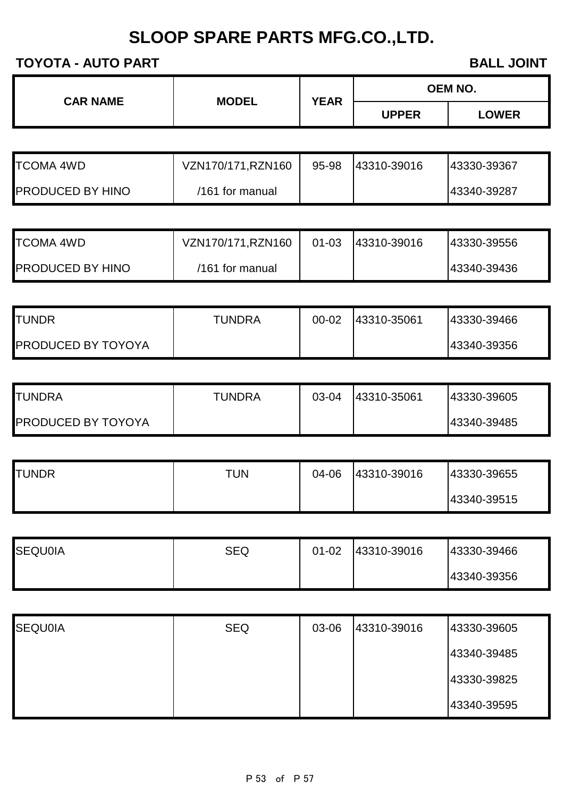| <b>CAR NAME</b> | <b>MODEL</b> |             | <b>OEM NO.</b>          |              |
|-----------------|--------------|-------------|-------------------------|--------------|
|                 |              | <b>YEAR</b> | <b>UPPER</b>            | <b>LOWER</b> |
|                 |              |             |                         |              |
| -------<br>.    |              | -- - -      | $1 - 1 - 1 - 1 - 1 - 1$ |              |

| <b>TCOMA 4WD</b>        | VZN170/171, RZN160 | 95-98 | 143310-39016 | 143330-39367 |
|-------------------------|--------------------|-------|--------------|--------------|
| <b>PRODUCED BY HINO</b> | /161 for manual    |       |              | 43340-39287  |

| <b>TCOMA 4WD</b>        | VZN170/171, RZN160 | $01 - 03$ | 143310-39016 | 43330-39556 |
|-------------------------|--------------------|-----------|--------------|-------------|
| <b>PRODUCED BY HINO</b> | /161 for manual    |           |              | 43340-39436 |

| <b>TUNDR</b>              | <b>TUNDRA</b> | $00 - 02$ | 43310-35061 | 43330-39466 |
|---------------------------|---------------|-----------|-------------|-------------|
| <b>PRODUCED BY TOYOYA</b> |               |           |             | 43340-39356 |

| ITUNDRA                   | <b>TUNDRA</b> | 03-04 | 43310-35061 | 43330-39605 |
|---------------------------|---------------|-------|-------------|-------------|
| <b>PRODUCED BY TOYOYA</b> |               |       |             | 43340-39485 |

| <b>TUNDR</b> | TUN | 04-06 | 43310-39016 | 43330-39655 |
|--------------|-----|-------|-------------|-------------|
|              |     |       |             | 43340-39515 |

| <b>ISEQU0IA</b> | <b>SEQ</b> | $01 - 02$ | 43310-39016 | 43330-39466 |
|-----------------|------------|-----------|-------------|-------------|
|                 |            |           |             | 43340-39356 |

| <b>SEQU0IA</b> | <b>SEQ</b> | 03-06 | 43310-39016 | 43330-39605 |
|----------------|------------|-------|-------------|-------------|
|                |            |       |             | 43340-39485 |
|                |            |       |             | 43330-39825 |
|                |            |       |             | 43340-39595 |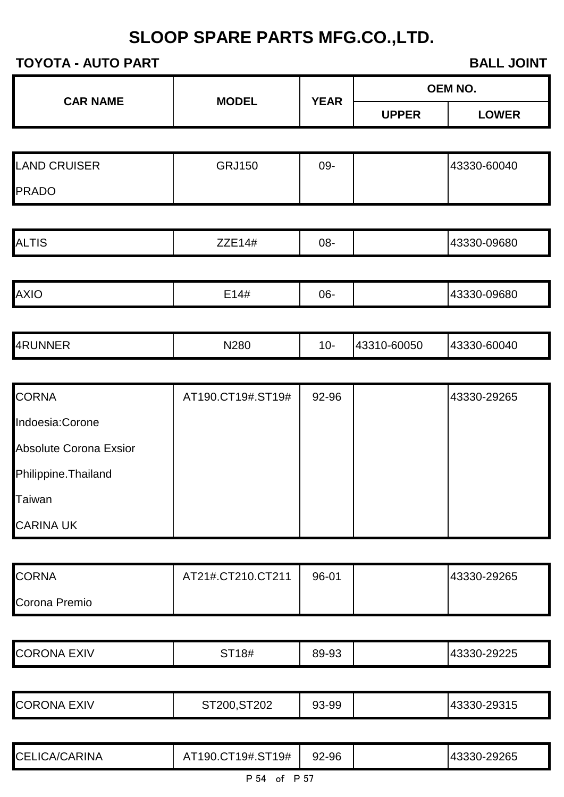| <b>CAR NAME</b>     | <b>MODEL</b>  | <b>YEAR</b> | OEM NO.      |              |
|---------------------|---------------|-------------|--------------|--------------|
|                     |               |             | <b>UPPER</b> | <b>LOWER</b> |
|                     |               |             |              |              |
| <b>LAND CRUISER</b> | <b>GRJ150</b> | 09-         |              | 43330-60040  |
| <b>PRADO</b>        |               |             |              |              |
|                     |               |             |              |              |
| <b>ALTIS</b>        | ZZE14#        | 08-         |              | 43330-09680  |
|                     |               |             |              |              |
| <b>AXIO</b>         | E14#          | 06-         |              | 43330-09680  |
|                     |               |             |              |              |

|--|

| <b>CORNA</b>           | AT190.CT19#.ST19# | 92-96 | 43330-29265 |
|------------------------|-------------------|-------|-------------|
| Indoesia:Corone        |                   |       |             |
| Absolute Corona Exsior |                   |       |             |
| Philippine. Thailand   |                   |       |             |
| Taiwan                 |                   |       |             |
| <b>CARINA UK</b>       |                   |       |             |

| <b>CORNA</b>  | AT21#.CT210.CT211 | 96-01 | 43330-29265 |
|---------------|-------------------|-------|-------------|
| Corona Premio |                   |       |             |

| -9229 | <b>COR</b><br>EXIV<br>∴ONA : | <b>CT10#</b><br>1 O H | 89-93 |  | າດາາຊ<br>u<br>14.3.3.<br>JU- |
|-------|------------------------------|-----------------------|-------|--|------------------------------|
|-------|------------------------------|-----------------------|-------|--|------------------------------|

|  | <b>EXIV</b><br><b>ORONA</b> ∟. | 202<br>20 M<br>$\sim$ | 93-99 |  | へへへィー<br>$\overline{\phantom{a}}$<br>1931 D<br>-- |
|--|--------------------------------|-----------------------|-------|--|---------------------------------------------------|
|--|--------------------------------|-----------------------|-------|--|---------------------------------------------------|

| <b>CEI</b><br><b>CARINA</b><br>. A/I | Г19#<br>л<br>ч<br>ч± | ∩r<br>$2 - 96$<br>YZ. | ヽ⌒⌒ー<br>265<br>$\overline{\phantom{a}}$<br>-- |
|--------------------------------------|----------------------|-----------------------|-----------------------------------------------|
|                                      |                      |                       |                                               |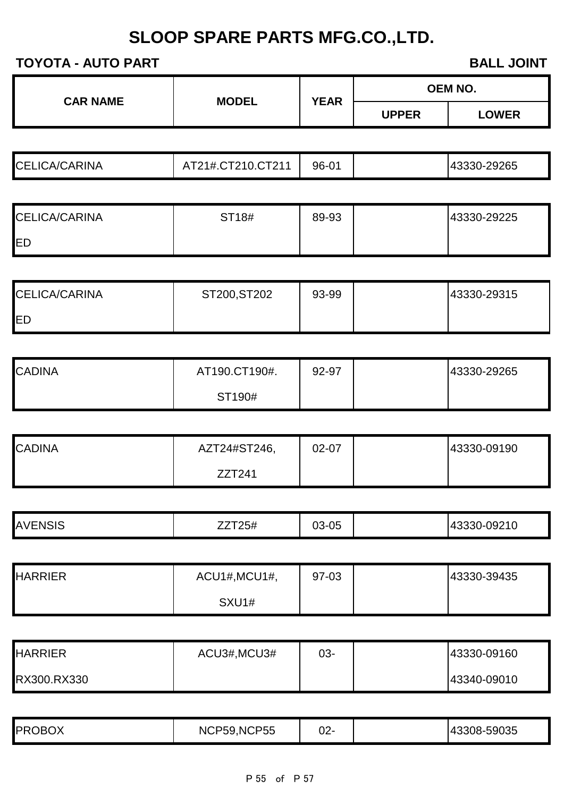#### **TOYOTA - AUTO PART BALL JOINT**

**OEM NO.**

| <b>CELICA/CARINA</b> | .0T011<br>7210.<br>$^{\circ}$ 1#.CT2<br>-<br>$\overline{ }$ | 96-01 | 43330-29265 |
|----------------------|-------------------------------------------------------------|-------|-------------|

**CAR NAME MODEL YEAR**

| <b>CELICA/CARINA</b> | ST18# | 89-93 | 43330-29225 |
|----------------------|-------|-------|-------------|
| <b>IED</b>           |       |       |             |

| <b>CELICA/CARINA</b> | ST200, ST202 | 93-99 | 43330-29315 |
|----------------------|--------------|-------|-------------|
| <b>IED</b>           |              |       |             |

| <b>CADINA</b> | AT190.CT190#. | 92-97 | 43330-29265 |
|---------------|---------------|-------|-------------|
|               | ST190#        |       |             |

| <b>CADINA</b> | AZT24#ST246, | $02 - 07$ | 43330-09190 |
|---------------|--------------|-----------|-------------|
|               | ZZT241       |           |             |

| <b>ENSIS</b><br><b>AVE</b> | —————————<br>1 Z J H | $3 - 05$<br>∩∩<br>UJ. | $-0921C$<br>,,,<br>. ר. ר<br>יו ר |
|----------------------------|----------------------|-----------------------|-----------------------------------|

| <b>HARRIER</b> | ACU1#, MCU1#, | 97-03 | 43330-39435 |
|----------------|---------------|-------|-------------|
|                | SXU1#         |       |             |

| <b>HARRIER</b> | ACU3#, MCU3# | 03- | 43330-09160 |
|----------------|--------------|-----|-------------|
| RX300.RX330    |              |     | 43340-09010 |

| <b>PROBOX</b> | NCP59, NCP55 | n n<br>-22 |  | 43308-59035 |
|---------------|--------------|------------|--|-------------|
|---------------|--------------|------------|--|-------------|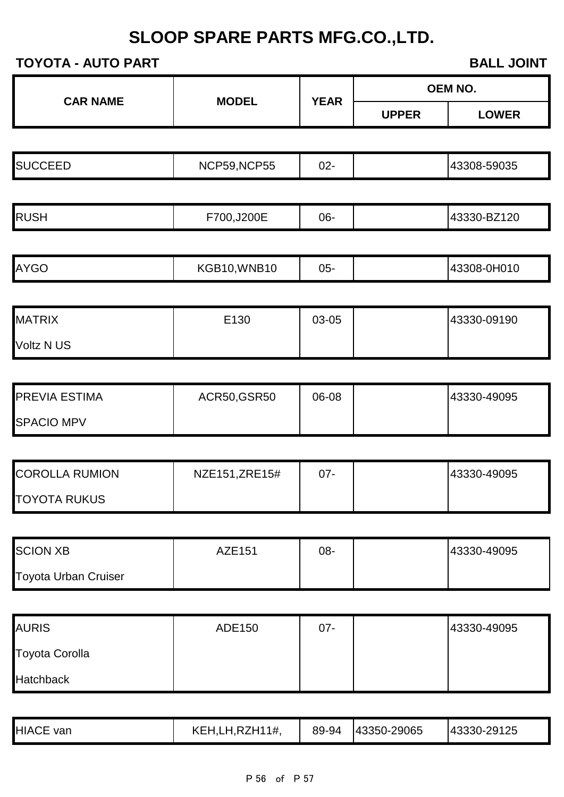| <b>TOYOTA - AUTO PART</b>   |                |             | <b>BALL JOINT</b> |              |  |
|-----------------------------|----------------|-------------|-------------------|--------------|--|
| <b>CAR NAME</b>             | <b>MODEL</b>   | <b>YEAR</b> | <b>OEM NO.</b>    |              |  |
|                             |                |             | <b>UPPER</b>      | <b>LOWER</b> |  |
|                             |                |             |                   |              |  |
| <b>SUCCEED</b>              | NCP59,NCP55    | $02 -$      |                   | 43308-59035  |  |
|                             |                |             |                   |              |  |
| <b>RUSH</b>                 | F700,J200E     | 06-         |                   | 43330-BZ120  |  |
| <b>AYGO</b>                 | KGB10, WNB10   | $05 -$      |                   | 43308-0H010  |  |
| <b>MATRIX</b>               | E130           | 03-05       |                   | 43330-09190  |  |
| Voltz N US                  |                |             |                   |              |  |
|                             |                |             |                   |              |  |
| PREVIA ESTIMA               | ACR50, GSR50   | 06-08       |                   | 43330-49095  |  |
| <b>SPACIO MPV</b>           |                |             |                   |              |  |
| <b>COROLLA RUMION</b>       | NZE151, ZRE15# | $07 -$      |                   | 43330-49095  |  |
| <b>TOYOTA RUKUS</b>         |                |             |                   |              |  |
| <b>SCION XB</b>             | <b>AZE151</b>  | 08-         |                   | 43330-49095  |  |
| <b>Toyota Urban Cruiser</b> |                |             |                   |              |  |
|                             |                |             |                   |              |  |
| <b>AURIS</b>                | ADE150         | $07 -$      |                   | 43330-49095  |  |
| <b>Toyota Corolla</b>       |                |             |                   |              |  |
| <b>Hatchback</b>            |                |             |                   |              |  |

|--|